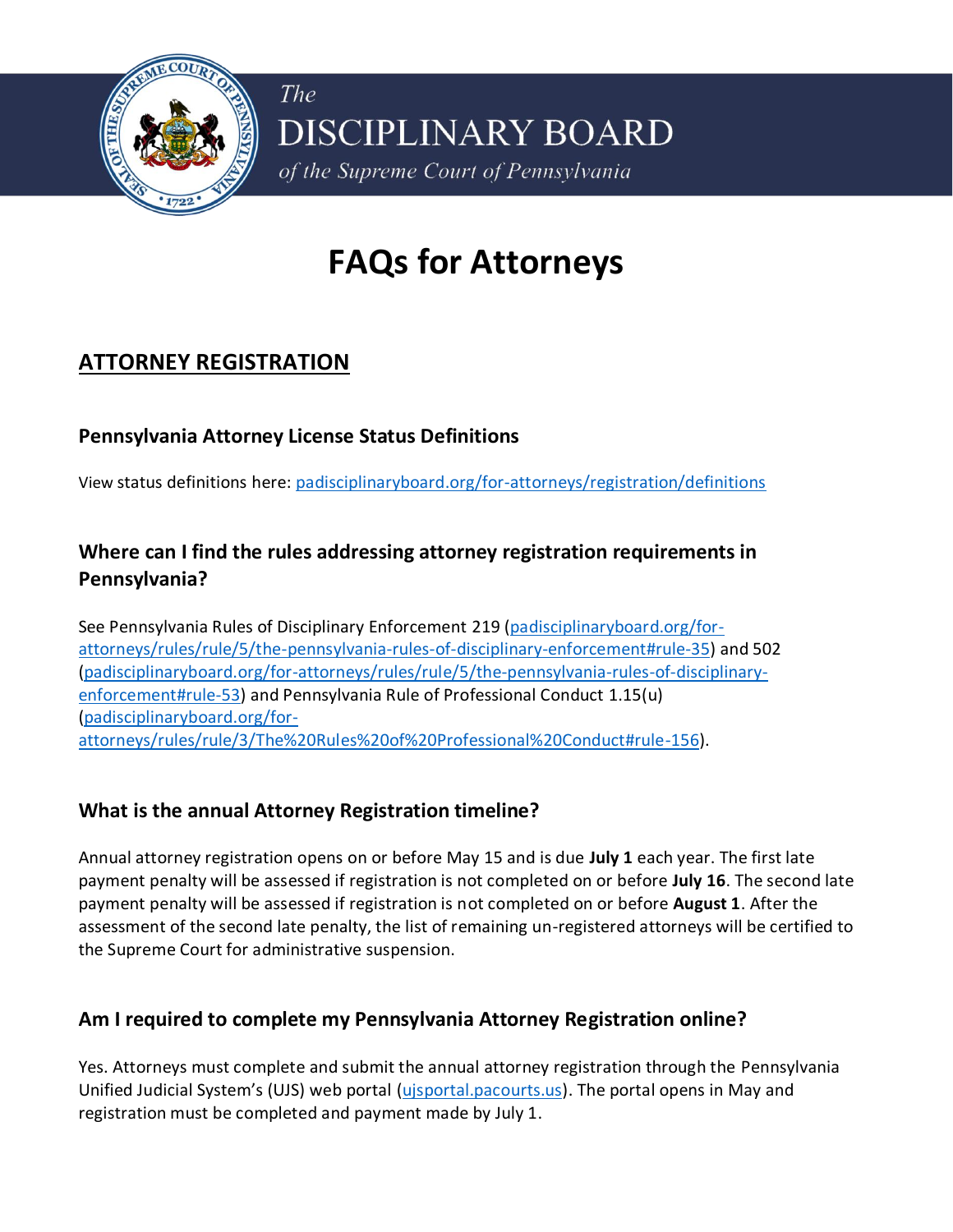

# **FAQs for Attorneys**

# **ATTORNEY REGISTRATION**

## **Pennsylvania Attorney License Status Definitions**

View status definitions here: [padisciplinaryboard.org/for-attorneys/registration/definitions](https://www.padisciplinaryboard.org/for-attorneys/registration/definitions)

# **Where can I find the rules addressing attorney registration requirements in Pennsylvania?**

See Pennsylvania Rules of Disciplinary Enforcement 219 [\(padisciplinaryboard.org/for](https://www.padisciplinaryboard.org/for-attorneys/rules/rule/5/the-pennsylvania-rules-of-disciplinary-enforcement#rule-35)[attorneys/rules/rule/5/the-pennsylvania-rules-of-disciplinary-enforcement#rule-35\)](https://www.padisciplinaryboard.org/for-attorneys/rules/rule/5/the-pennsylvania-rules-of-disciplinary-enforcement#rule-35) and 502 [\(padisciplinaryboard.org/for-attorneys/rules/rule/5/the-pennsylvania-rules-of-disciplinary](https://www.padisciplinaryboard.org/for-attorneys/rules/rule/5/the-pennsylvania-rules-of-disciplinary-enforcement#rule-53)[enforcement#rule-53\)](https://www.padisciplinaryboard.org/for-attorneys/rules/rule/5/the-pennsylvania-rules-of-disciplinary-enforcement#rule-53) and Pennsylvania Rule of Professional Conduct 1.15(u) [\(padisciplinaryboard.org/for](https://www.padisciplinaryboard.org/for-attorneys/rules/rule/3/The%20Rules%20of%20Professional%20Conduct#rule-156)[attorneys/rules/rule/3/The%20Rules%20of%20Professional%20Conduct#rule-156\)](https://www.padisciplinaryboard.org/for-attorneys/rules/rule/3/The%20Rules%20of%20Professional%20Conduct#rule-156).

#### **What is the annual Attorney Registration timeline?**

Annual attorney registration opens on or before May 15 and is due **July 1** each year. The first late payment penalty will be assessed if registration is not completed on or before **July 16**. The second late payment penalty will be assessed if registration is not completed on or before **August 1**. After the assessment of the second late penalty, the list of remaining un-registered attorneys will be certified to the Supreme Court for administrative suspension.

# **Am I required to complete my Pennsylvania Attorney Registration online?**

Yes. Attorneys must complete and submit the annual attorney registration through the Pennsylvania Unified Judicial System's (UJS) web portal [\(ujsportal.pacourts.us\)](https://ujsportal.pacourts.us/). The portal opens in May and registration must be completed and payment made by July 1.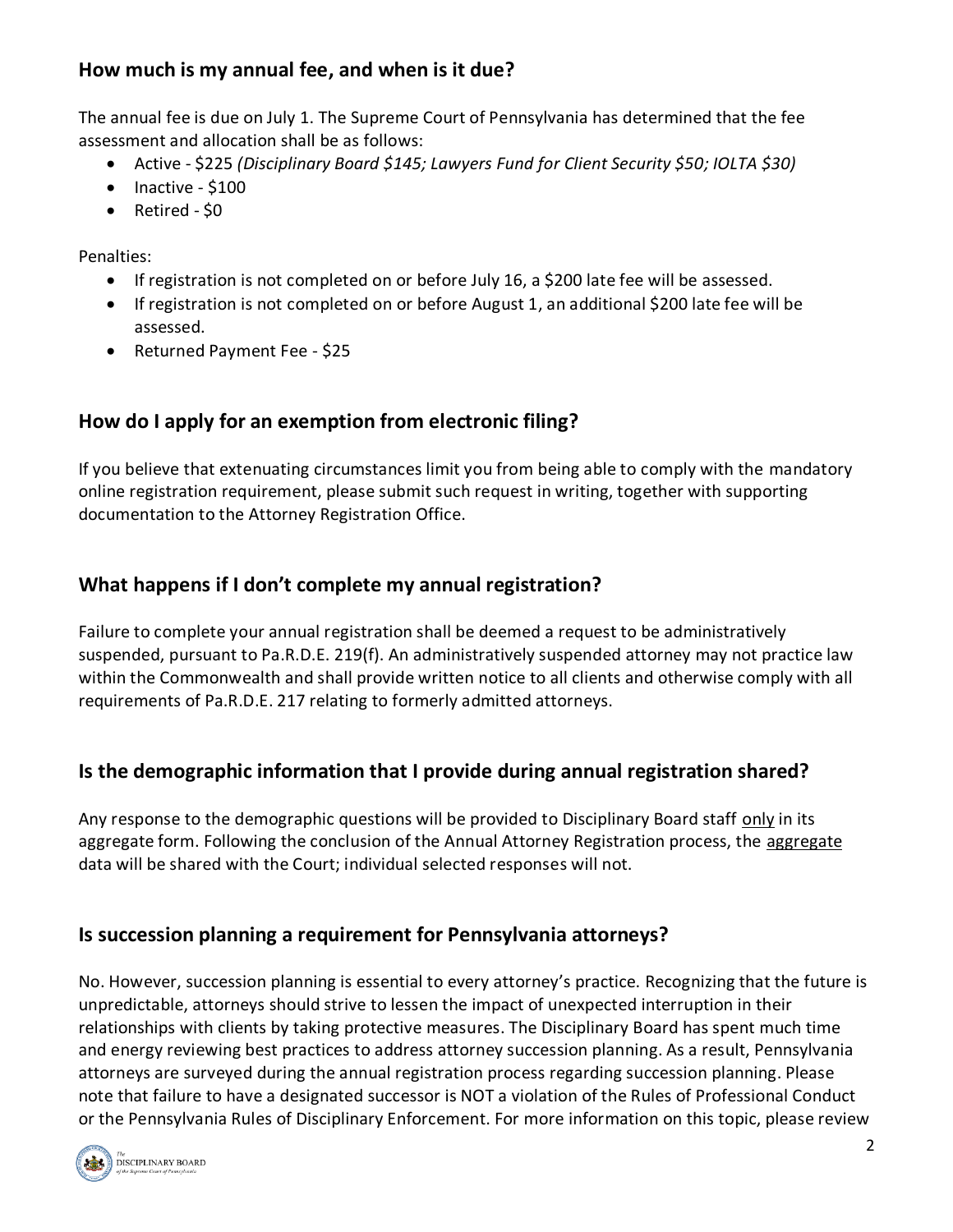# **How much is my annual fee, and when is it due?**

The annual fee is due on July 1. The Supreme Court of Pennsylvania has determined that the fee assessment and allocation shall be as follows:

- Active \$225 *(Disciplinary Board \$145; Lawyers Fund for Client Security \$50; IOLTA \$30)*
- Inactive \$100
- Retired \$0

Penalties:

- If registration is not completed on or before July 16, a \$200 late fee will be assessed.
- If registration is not completed on or before August 1, an additional \$200 late fee will be assessed.
- Returned Payment Fee \$25

# **How do I apply for an exemption from electronic filing?**

If you believe that extenuating circumstances limit you from being able to comply with the mandatory online registration requirement, please submit such request in writing, together with supporting documentation to the Attorney Registration Office.

# **What happens if I don't complete my annual registration?**

Failure to complete your annual registration shall be deemed a request to be administratively suspended, pursuant to Pa.R.D.E. 219(f). An administratively suspended attorney may not practice law within the Commonwealth and shall provide written notice to all clients and otherwise comply with all requirements of Pa.R.D.E. 217 relating to formerly admitted attorneys.

#### **Is the demographic information that I provide during annual registration shared?**

Any response to the demographic questions will be provided to Disciplinary Board staff only in its aggregate form. Following the conclusion of the Annual Attorney Registration process, the aggregate data will be shared with the Court; individual selected responses will not.

# **Is succession planning a requirement for Pennsylvania attorneys?**

No. However, succession planning is essential to every attorney's practice. Recognizing that the future is unpredictable, attorneys should strive to lessen the impact of unexpected interruption in their relationships with clients by taking protective measures. The Disciplinary Board has spent much time and energy reviewing best practices to address attorney succession planning. As a result, Pennsylvania attorneys are surveyed during the annual registration process regarding succession planning. Please note that failure to have a designated successor is NOT a violation of the Rules of Professional Conduct or the Pennsylvania Rules of Disciplinary Enforcement. For more information on this topic, please review

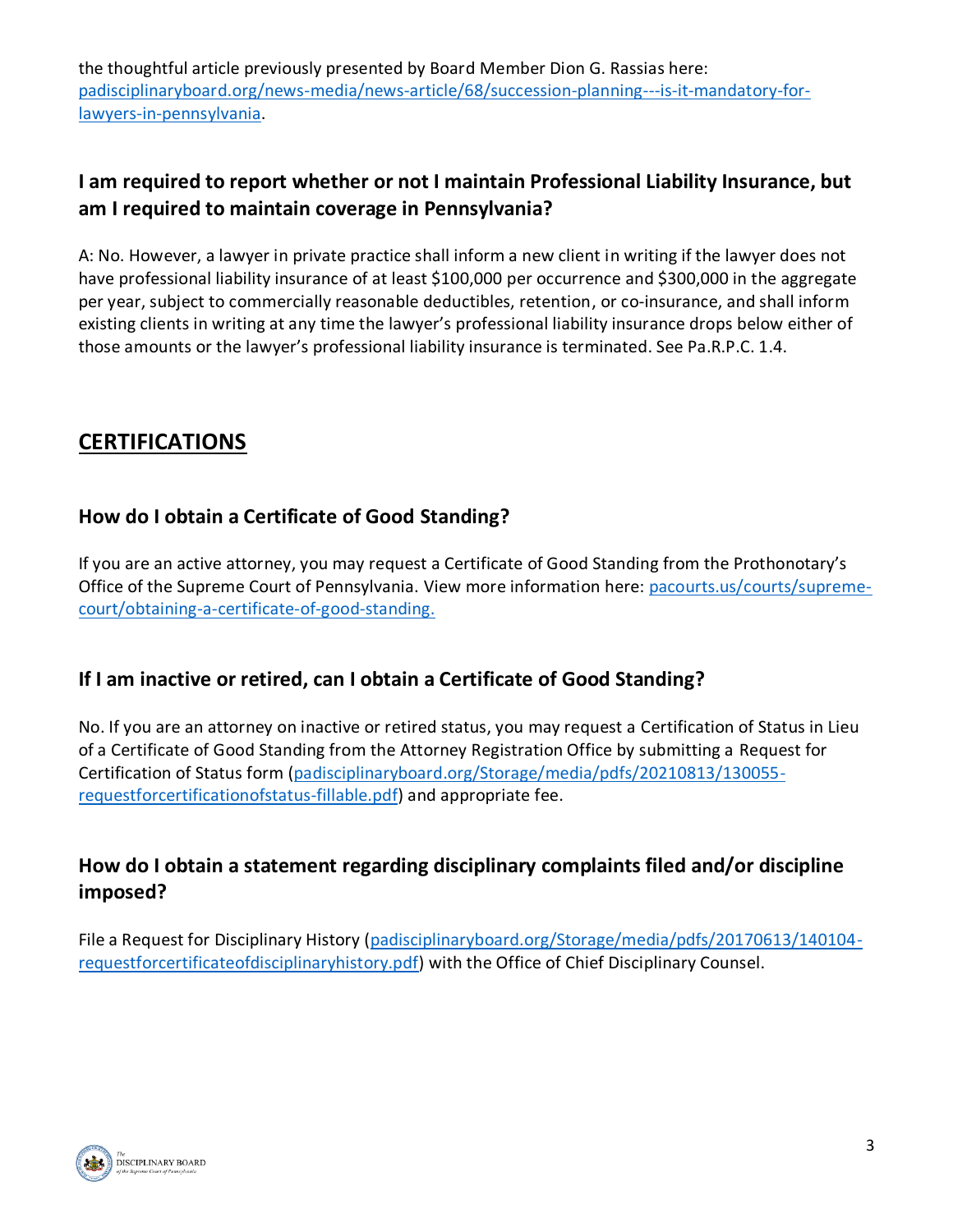the thoughtful article previously presented by Board Member Dion G. Rassias here: [padisciplinaryboard.org/news-media/news-article/68/succession-planning---is-it-mandatory-for](https://www.padisciplinaryboard.org/news-media/news-article/68/succession-planning---is-it-mandatory-for-lawyers-in-pennsylvania)[lawyers-in-pennsylvania.](https://www.padisciplinaryboard.org/news-media/news-article/68/succession-planning---is-it-mandatory-for-lawyers-in-pennsylvania)

# **I am required to report whether or not I maintain Professional Liability Insurance, but am I required to maintain coverage in Pennsylvania?**

A: No. However, a lawyer in private practice shall inform a new client in writing if the lawyer does not have professional liability insurance of at least \$100,000 per occurrence and \$300,000 in the aggregate per year, subject to commercially reasonable deductibles, retention, or co-insurance, and shall inform existing clients in writing at any time the lawyer's professional liability insurance drops below either of those amounts or the lawyer's professional liability insurance is terminated. See Pa.R.P.C. 1.4.

# **CERTIFICATIONS**

## **How do I obtain a Certificate of Good Standing?**

If you are an active attorney, you may request a Certificate of Good Standing from the Prothonotary's Office of the Supreme Court of Pennsylvania. View more information here: [pacourts.us/courts/supreme](https://www.pacourts.us/courts/supreme-court/obtaining-a-certificate-of-good-standing)[court/obtaining-a-certificate-of-good-standing.](https://www.pacourts.us/courts/supreme-court/obtaining-a-certificate-of-good-standing)

# **If I am inactive or retired, can I obtain a Certificate of Good Standing?**

No. If you are an attorney on inactive or retired status, you may request a Certification of Status in Lieu of a Certificate of Good Standing from the Attorney Registration Office by submitting a Request for Certification of Status form [\(padisciplinaryboard.org/Storage/media/pdfs/20210813/130055](https://www.padisciplinaryboard.org/Storage/media/pdfs/20210813/130055-requestforcertificationofstatus-fillable.pdf) [requestforcertificationofstatus-fillable.pdf\)](https://www.padisciplinaryboard.org/Storage/media/pdfs/20210813/130055-requestforcertificationofstatus-fillable.pdf) and appropriate fee.

# **How do I obtain a statement regarding disciplinary complaints filed and/or discipline imposed?**

File a Request for Disciplinary History [\(padisciplinaryboard.org/Storage/media/pdfs/20170613/140104](https://www.padisciplinaryboard.org/Storage/media/pdfs/20170613/140104-requestforcertificateofdisciplinaryhistory.pdf) [requestforcertificateofdisciplinaryhistory.pdf\)](https://www.padisciplinaryboard.org/Storage/media/pdfs/20170613/140104-requestforcertificateofdisciplinaryhistory.pdf) with the Office of Chief Disciplinary Counsel.

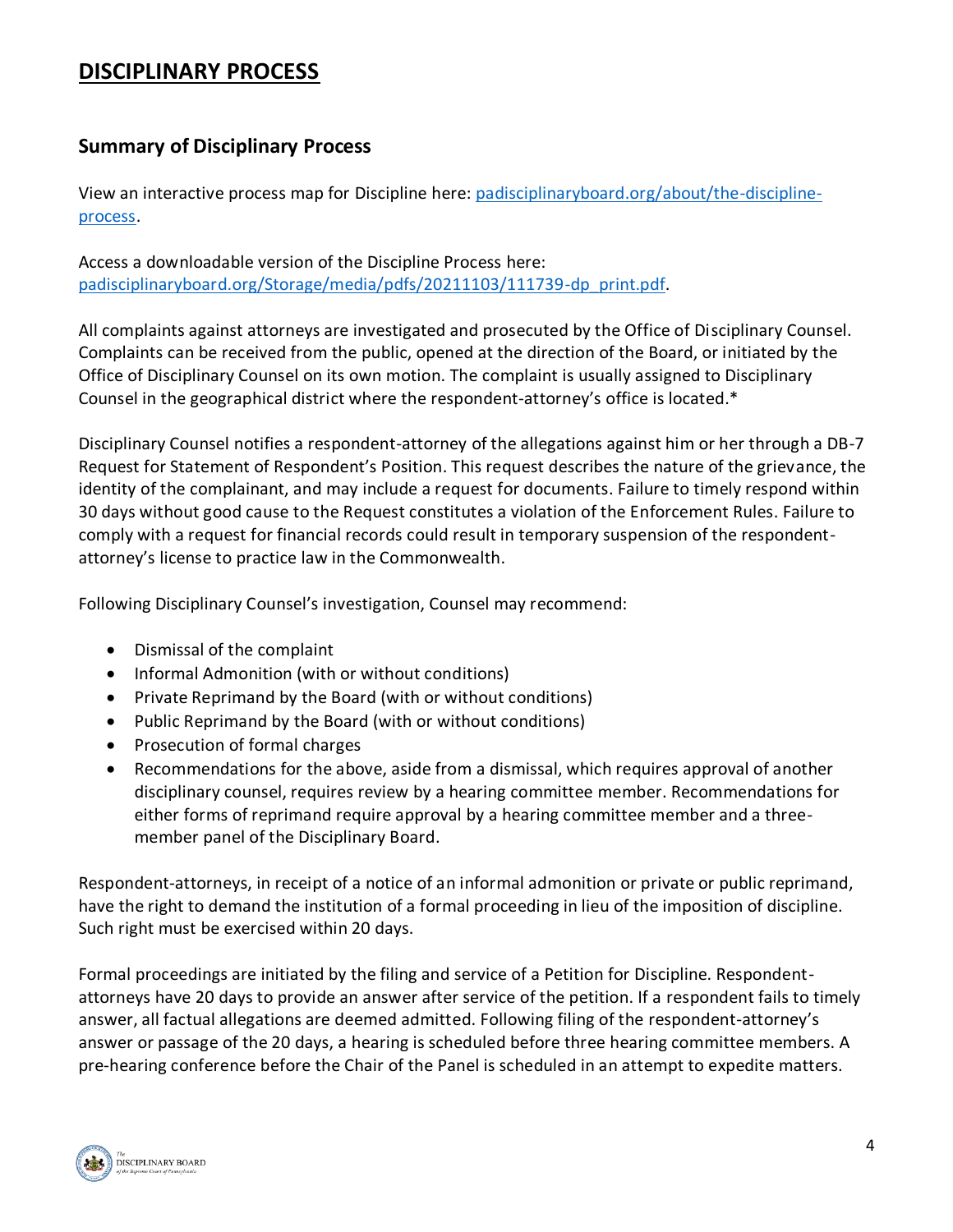# **DISCIPLINARY PROCESS**

## **Summary of Disciplinary Process**

View an interactive process map for Discipline here: [padisciplinaryboard.org/about/the-discipline](https://www.padisciplinaryboard.org/about/the-discipline-process)[process.](https://www.padisciplinaryboard.org/about/the-discipline-process)

Access a downloadable version of the Discipline Process here: [padisciplinaryboard.org/Storage/media/pdfs/20211103/111739-dp\\_print.pdf.](https://www.padisciplinaryboard.org/Storage/media/pdfs/20211103/111739-dp_print.pdf)

All complaints against attorneys are investigated and prosecuted by the Office of Disciplinary Counsel. Complaints can be received from the public, opened at the direction of the Board, or initiated by the Office of Disciplinary Counsel on its own motion. The complaint is usually assigned to Disciplinary Counsel in the geographical district where the respondent-attorney's office is located.\*

Disciplinary Counsel notifies a respondent-attorney of the allegations against him or her through a DB-7 Request for Statement of Respondent's Position. This request describes the nature of the grievance, the identity of the complainant, and may include a request for documents. Failure to timely respond within 30 days without good cause to the Request constitutes a violation of the Enforcement Rules. Failure to comply with a request for financial records could result in temporary suspension of the respondentattorney's license to practice law in the Commonwealth.

Following Disciplinary Counsel's investigation, Counsel may recommend:

- Dismissal of the complaint
- Informal Admonition (with or without conditions)
- Private Reprimand by the Board (with or without conditions)
- Public Reprimand by the Board (with or without conditions)
- Prosecution of formal charges
- Recommendations for the above, aside from a dismissal, which requires approval of another disciplinary counsel, requires review by a hearing committee member. Recommendations for either forms of reprimand require approval by a hearing committee member and a threemember panel of the Disciplinary Board.

Respondent-attorneys, in receipt of a notice of an informal admonition or private or public reprimand, have the right to demand the institution of a formal proceeding in lieu of the imposition of discipline. Such right must be exercised within 20 days.

Formal proceedings are initiated by the filing and service of a Petition for Discipline. Respondentattorneys have 20 days to provide an answer after service of the petition. If a respondent fails to timely answer, all factual allegations are deemed admitted. Following filing of the respondent-attorney's answer or passage of the 20 days, a hearing is scheduled before three hearing committee members. A pre-hearing conference before the Chair of the Panel is scheduled in an attempt to expedite matters.

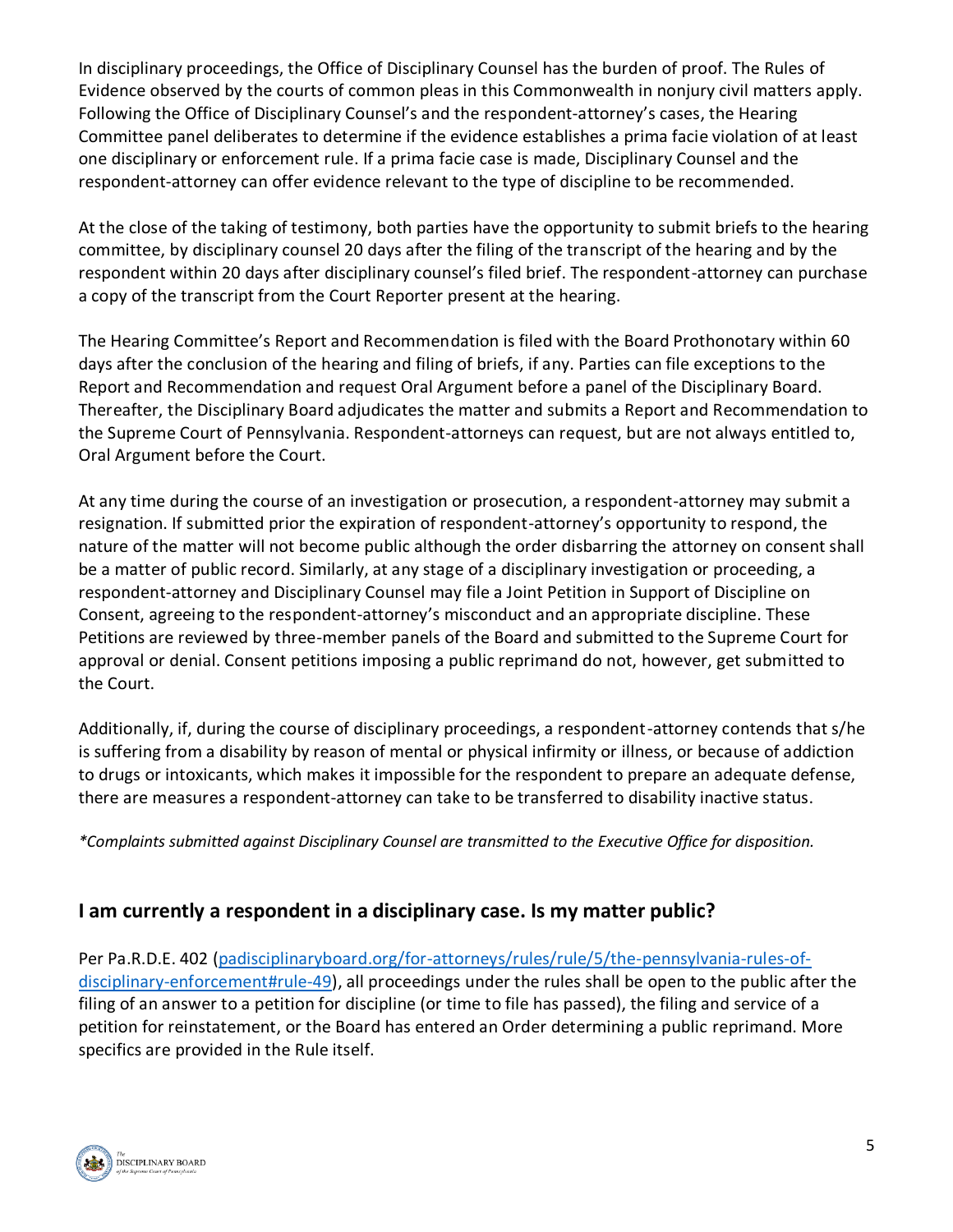In disciplinary proceedings, the Office of Disciplinary Counsel has the burden of proof. The Rules of Evidence observed by the courts of common pleas in this Commonwealth in nonjury civil matters apply. Following the Office of Disciplinary Counsel's and the respondent-attorney's cases, the Hearing Committee panel deliberates to determine if the evidence establishes a prima facie violation of at least one disciplinary or enforcement rule. If a prima facie case is made, Disciplinary Counsel and the respondent-attorney can offer evidence relevant to the type of discipline to be recommended.

At the close of the taking of testimony, both parties have the opportunity to submit briefs to the hearing committee, by disciplinary counsel 20 days after the filing of the transcript of the hearing and by the respondent within 20 days after disciplinary counsel's filed brief. The respondent-attorney can purchase a copy of the transcript from the Court Reporter present at the hearing.

The Hearing Committee's Report and Recommendation is filed with the Board Prothonotary within 60 days after the conclusion of the hearing and filing of briefs, if any. Parties can file exceptions to the Report and Recommendation and request Oral Argument before a panel of the Disciplinary Board. Thereafter, the Disciplinary Board adjudicates the matter and submits a Report and Recommendation to the Supreme Court of Pennsylvania. Respondent-attorneys can request, but are not always entitled to, Oral Argument before the Court.

At any time during the course of an investigation or prosecution, a respondent-attorney may submit a resignation. If submitted prior the expiration of respondent-attorney's opportunity to respond, the nature of the matter will not become public although the order disbarring the attorney on consent shall be a matter of public record. Similarly, at any stage of a disciplinary investigation or proceeding, a respondent-attorney and Disciplinary Counsel may file a Joint Petition in Support of Discipline on Consent, agreeing to the respondent-attorney's misconduct and an appropriate discipline. These Petitions are reviewed by three-member panels of the Board and submitted to the Supreme Court for approval or denial. Consent petitions imposing a public reprimand do not, however, get submitted to the Court.

Additionally, if, during the course of disciplinary proceedings, a respondent-attorney contends that s/he is suffering from a disability by reason of mental or physical infirmity or illness, or because of addiction to drugs or intoxicants, which makes it impossible for the respondent to prepare an adequate defense, there are measures a respondent-attorney can take to be transferred to disability inactive status.

*\*Complaints submitted against Disciplinary Counsel are transmitted to the Executive Office for disposition.*

#### **I am currently a respondent in a disciplinary case. Is my matter public?**

Per Pa.R.D.E. 402 [\(padisciplinaryboard.org/for-attorneys/rules/rule/5/the-pennsylvania-rules-of](https://www.padisciplinaryboard.org/for-attorneys/rules/rule/5/the-pennsylvania-rules-of-disciplinary-enforcement#rule-49)[disciplinary-enforcement#rule-49\)](https://www.padisciplinaryboard.org/for-attorneys/rules/rule/5/the-pennsylvania-rules-of-disciplinary-enforcement#rule-49), all proceedings under the rules shall be open to the public after the filing of an answer to a petition for discipline (or time to file has passed), the filing and service of a petition for reinstatement, or the Board has entered an Order determining a public reprimand. More specifics are provided in the Rule itself.

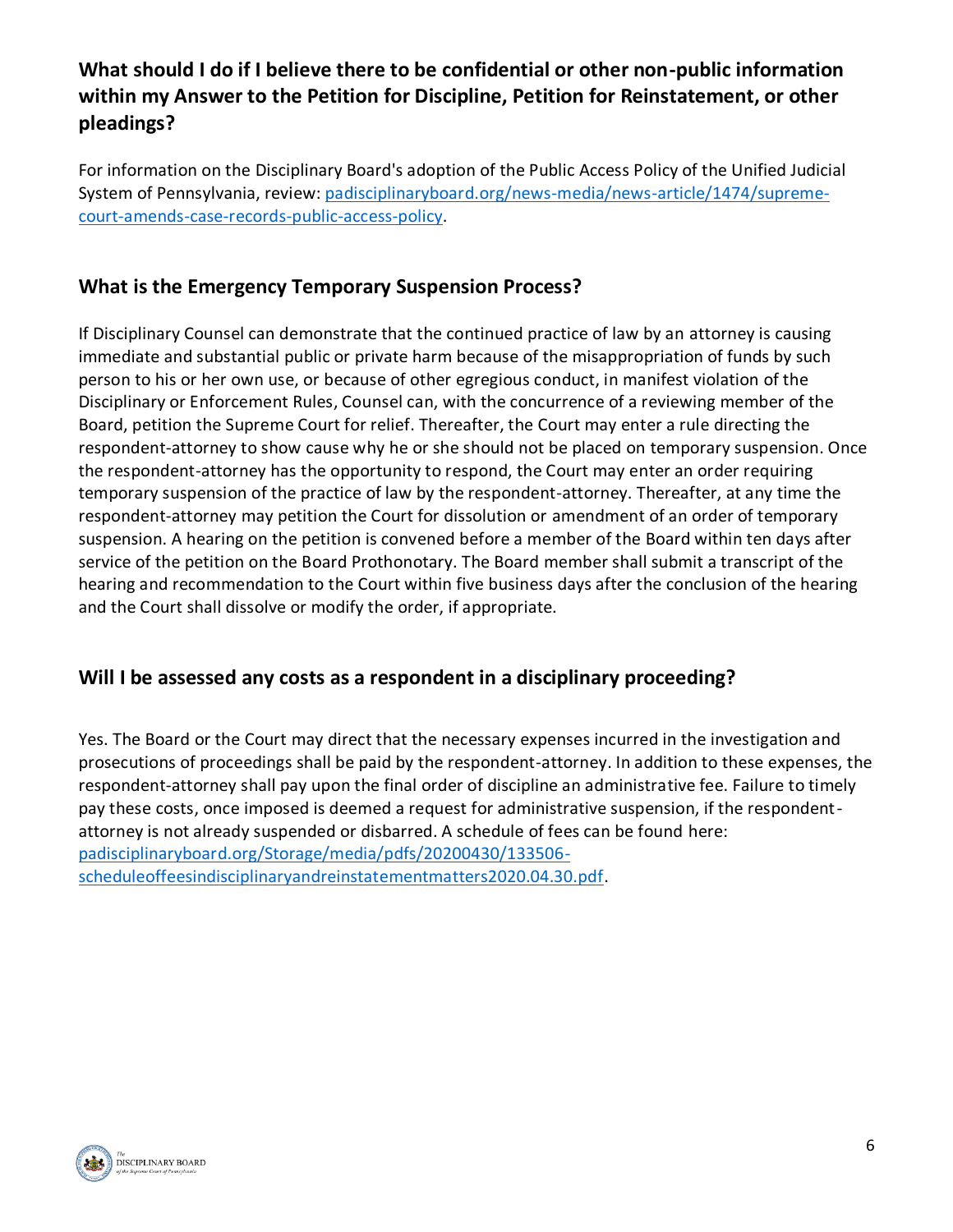# **What should I do if I believe there to be confidential or other non-public information within my Answer to the Petition for Discipline, Petition for Reinstatement, or other pleadings?**

For information on the Disciplinary Board's adoption of the Public Access Policy of the Unified Judicial System of Pennsylvania, review: [padisciplinaryboard.org/news-media/news-article/1474/supreme](https://www.padisciplinaryboard.org/news-media/news-article/1474/supreme-court-amends-case-records-public-access-policy)[court-amends-case-records-public-access-policy.](https://www.padisciplinaryboard.org/news-media/news-article/1474/supreme-court-amends-case-records-public-access-policy)

# **What is the Emergency Temporary Suspension Process?**

If Disciplinary Counsel can demonstrate that the continued practice of law by an attorney is causing immediate and substantial public or private harm because of the misappropriation of funds by such person to his or her own use, or because of other egregious conduct, in manifest violation of the Disciplinary or Enforcement Rules, Counsel can, with the concurrence of a reviewing member of the Board, petition the Supreme Court for relief. Thereafter, the Court may enter a rule directing the respondent-attorney to show cause why he or she should not be placed on temporary suspension. Once the respondent-attorney has the opportunity to respond, the Court may enter an order requiring temporary suspension of the practice of law by the respondent-attorney. Thereafter, at any time the respondent-attorney may petition the Court for dissolution or amendment of an order of temporary suspension. A hearing on the petition is convened before a member of the Board within ten days after service of the petition on the Board Prothonotary. The Board member shall submit a transcript of the hearing and recommendation to the Court within five business days after the conclusion of the hearing and the Court shall dissolve or modify the order, if appropriate.

# **Will I be assessed any costs as a respondent in a disciplinary proceeding?**

Yes. The Board or the Court may direct that the necessary expenses incurred in the investigation and prosecutions of proceedings shall be paid by the respondent-attorney. In addition to these expenses, the respondent-attorney shall pay upon the final order of discipline an administrative fee. Failure to timely pay these costs, once imposed is deemed a request for administrative suspension, if the respondentattorney is not already suspended or disbarred. A schedule of fees can be found here: [padisciplinaryboard.org/Storage/media/pdfs/20200430/133506](https://www.padisciplinaryboard.org/Storage/media/pdfs/20200430/133506-scheduleoffeesindisciplinaryandreinstatementmatters2020.04.30.pdf) [scheduleoffeesindisciplinaryandreinstatementmatters2020.04.30.pdf.](https://www.padisciplinaryboard.org/Storage/media/pdfs/20200430/133506-scheduleoffeesindisciplinaryandreinstatementmatters2020.04.30.pdf)

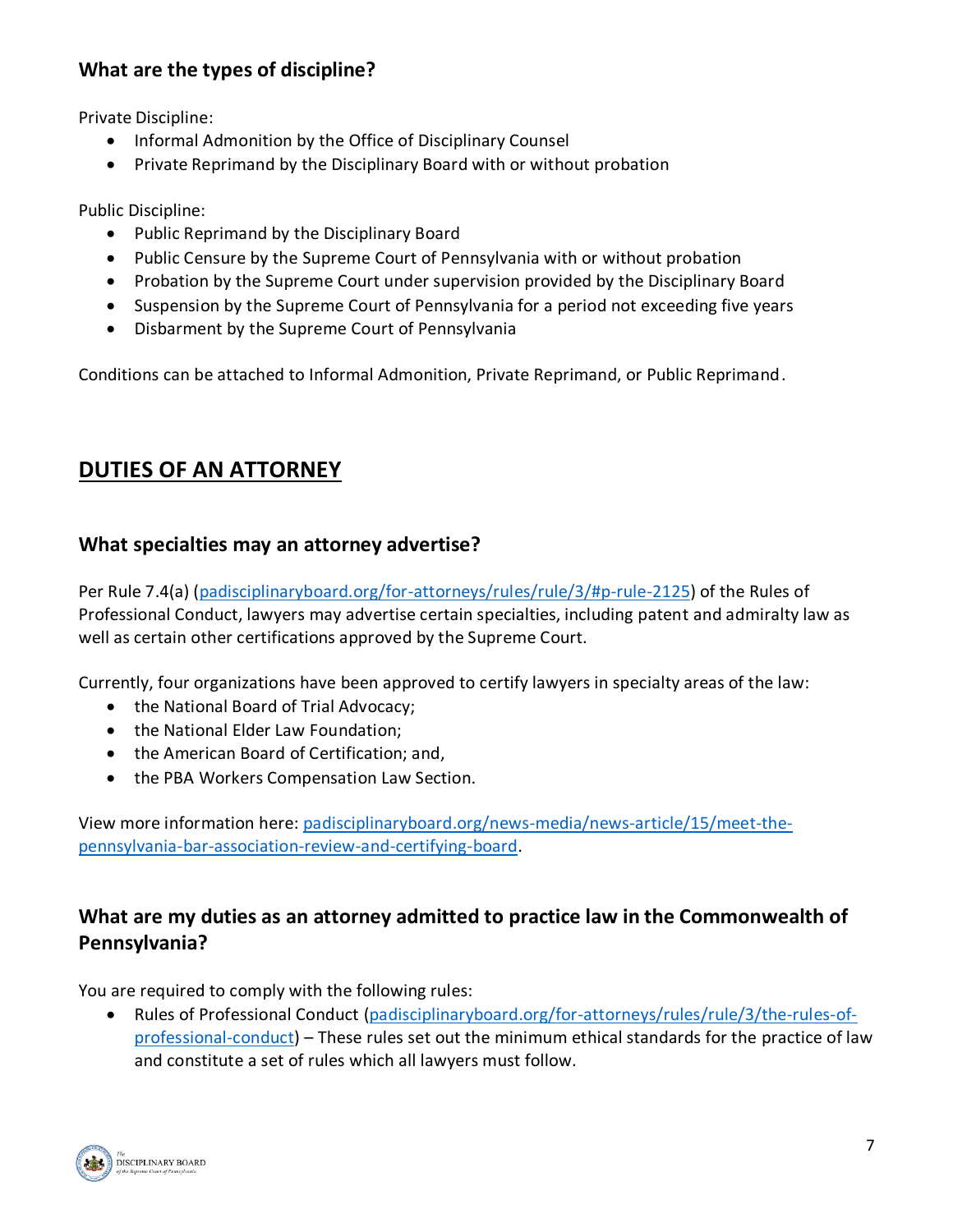# **What are the types of discipline?**

Private Discipline:

- Informal Admonition by the Office of Disciplinary Counsel
- Private Reprimand by the Disciplinary Board with or without probation

Public Discipline:

- Public Reprimand by the Disciplinary Board
- Public Censure by the Supreme Court of Pennsylvania with or without probation
- Probation by the Supreme Court under supervision provided by the Disciplinary Board
- Suspension by the Supreme Court of Pennsylvania for a period not exceeding five years
- Disbarment by the Supreme Court of Pennsylvania

Conditions can be attached to Informal Admonition, Private Reprimand, or Public Reprimand.

# **DUTIES OF AN ATTORNEY**

#### **What specialties may an attorney advertise?**

Per Rule 7.4(a) [\(padisciplinaryboard.org/for-attorneys/rules/rule/3/#p-rule-2125\)](https://www.padisciplinaryboard.org/for-attorneys/rules/rule/3/#p-rule-2125) of the Rules of Professional Conduct, lawyers may advertise certain specialties, including patent and admiralty law as well as certain other certifications approved by the Supreme Court.

Currently, four organizations have been approved to certify lawyers in specialty areas of the law:

- the National Board of Trial Advocacy;
- the National Elder Law Foundation:
- the American Board of Certification; and,
- the PBA Workers Compensation Law Section.

View more information here: [padisciplinaryboard.org/news-media/news-article/15/meet-the](http://www.padisciplinaryboard.org/news-media/news-article/15/meet-the-pennsylvania-bar-association-review-and-certifying-board)[pennsylvania-bar-association-review-and-certifying-board.](http://www.padisciplinaryboard.org/news-media/news-article/15/meet-the-pennsylvania-bar-association-review-and-certifying-board)

## **What are my duties as an attorney admitted to practice law in the Commonwealth of Pennsylvania?**

You are required to comply with the following rules:

• Rules of Professional Conduct [\(padisciplinaryboard.org/for-attorneys/rules/rule/3/the-rules-of](https://www.padisciplinaryboard.org/for-attorneys/rules/rule/3/the-rules-of-professional-conduct)[professional-conduct\)](https://www.padisciplinaryboard.org/for-attorneys/rules/rule/3/the-rules-of-professional-conduct) – These rules set out the minimum ethical standards for the practice of law and constitute a set of rules which all lawyers must follow.

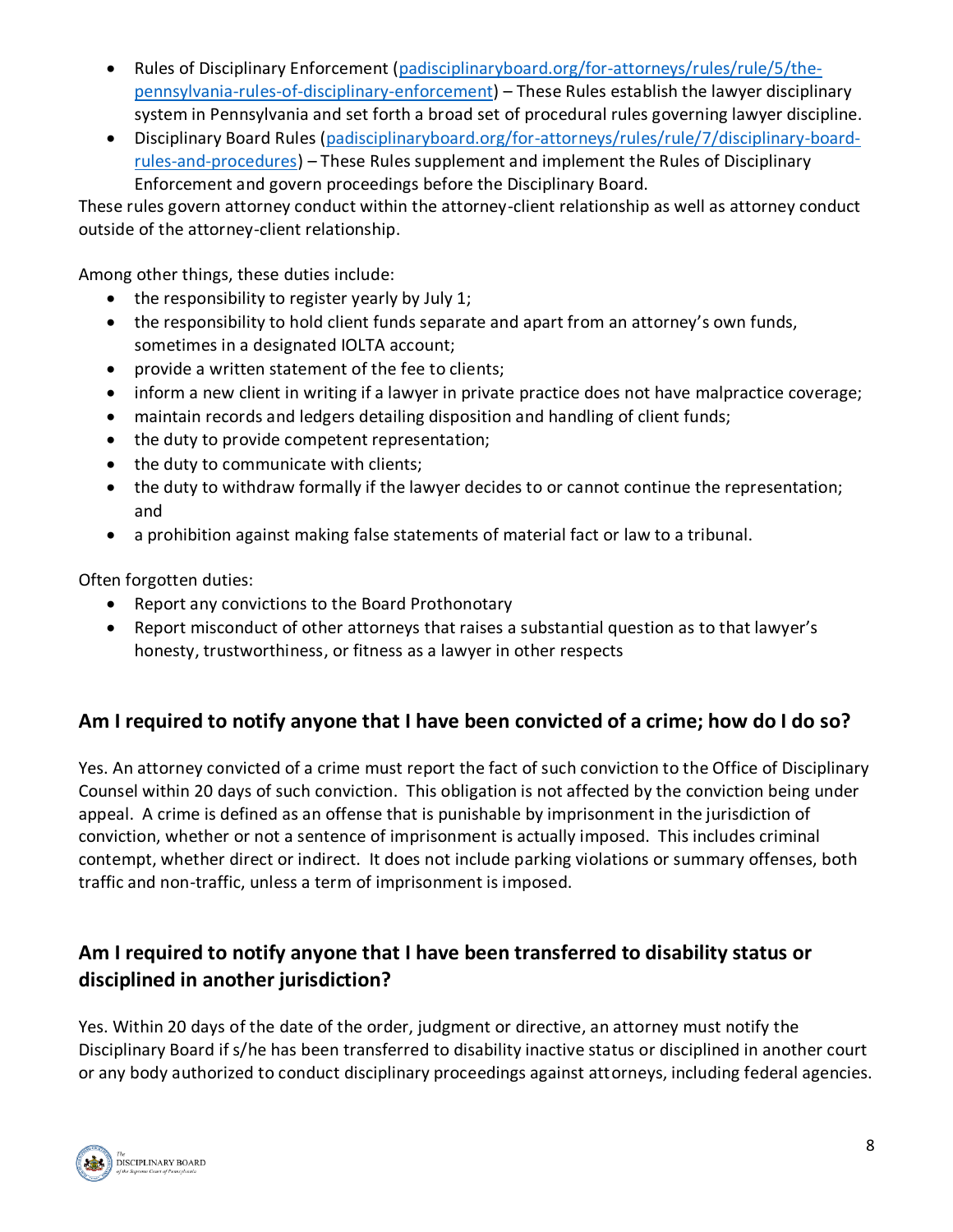- Rules of Disciplinary Enforcement [\(padisciplinaryboard.org/for-attorneys/rules/rule/5/the](https://www.padisciplinaryboard.org/for-attorneys/rules/rule/5/the-pennsylvania-rules-of-disciplinary-enforcement)[pennsylvania-rules-of-disciplinary-enforcement\)](https://www.padisciplinaryboard.org/for-attorneys/rules/rule/5/the-pennsylvania-rules-of-disciplinary-enforcement) – These Rules establish the lawyer disciplinary system in Pennsylvania and set forth a broad set of procedural rules governing lawyer discipline.
- Disciplinary Board Rules [\(padisciplinaryboard.org/for-attorneys/rules/rule/7/disciplinary-board](https://www.padisciplinaryboard.org/for-attorneys/rules/rule/7/disciplinary-board-rules-and-procedures)[rules-and-procedures\)](https://www.padisciplinaryboard.org/for-attorneys/rules/rule/7/disciplinary-board-rules-and-procedures) – These Rules supplement and implement the Rules of Disciplinary Enforcement and govern proceedings before the Disciplinary Board.

These rules govern attorney conduct within the attorney-client relationship as well as attorney conduct outside of the attorney-client relationship.

Among other things, these duties include:

- the responsibility to register yearly by July 1;
- the responsibility to hold client funds separate and apart from an attorney's own funds, sometimes in a designated IOLTA account;
- provide a written statement of the fee to clients;
- inform a new client in writing if a lawyer in private practice does not have malpractice coverage;
- maintain records and ledgers detailing disposition and handling of client funds;
- the duty to provide competent representation;
- the duty to communicate with clients;
- the duty to withdraw formally if the lawyer decides to or cannot continue the representation; and
- a prohibition against making false statements of material fact or law to a tribunal.

Often forgotten duties:

- Report any convictions to the Board Prothonotary
- Report misconduct of other attorneys that raises a substantial question as to that lawyer's honesty, trustworthiness, or fitness as a lawyer in other respects

#### **Am I required to notify anyone that I have been convicted of a crime; how do I do so?**

Yes. An attorney convicted of a crime must report the fact of such conviction to the Office of Disciplinary Counsel within 20 days of such conviction. This obligation is not affected by the conviction being under appeal. A crime is defined as an offense that is punishable by imprisonment in the jurisdiction of conviction, whether or not a sentence of imprisonment is actually imposed. This includes criminal contempt, whether direct or indirect. It does not include parking violations or summary offenses, both traffic and non-traffic, unless a term of imprisonment is imposed.

# **Am I required to notify anyone that I have been transferred to disability status or disciplined in another jurisdiction?**

Yes. Within 20 days of the date of the order, judgment or directive, an attorney must notify the Disciplinary Board if s/he has been transferred to disability inactive status or disciplined in another court or any body authorized to conduct disciplinary proceedings against attorneys, including federal agencies.

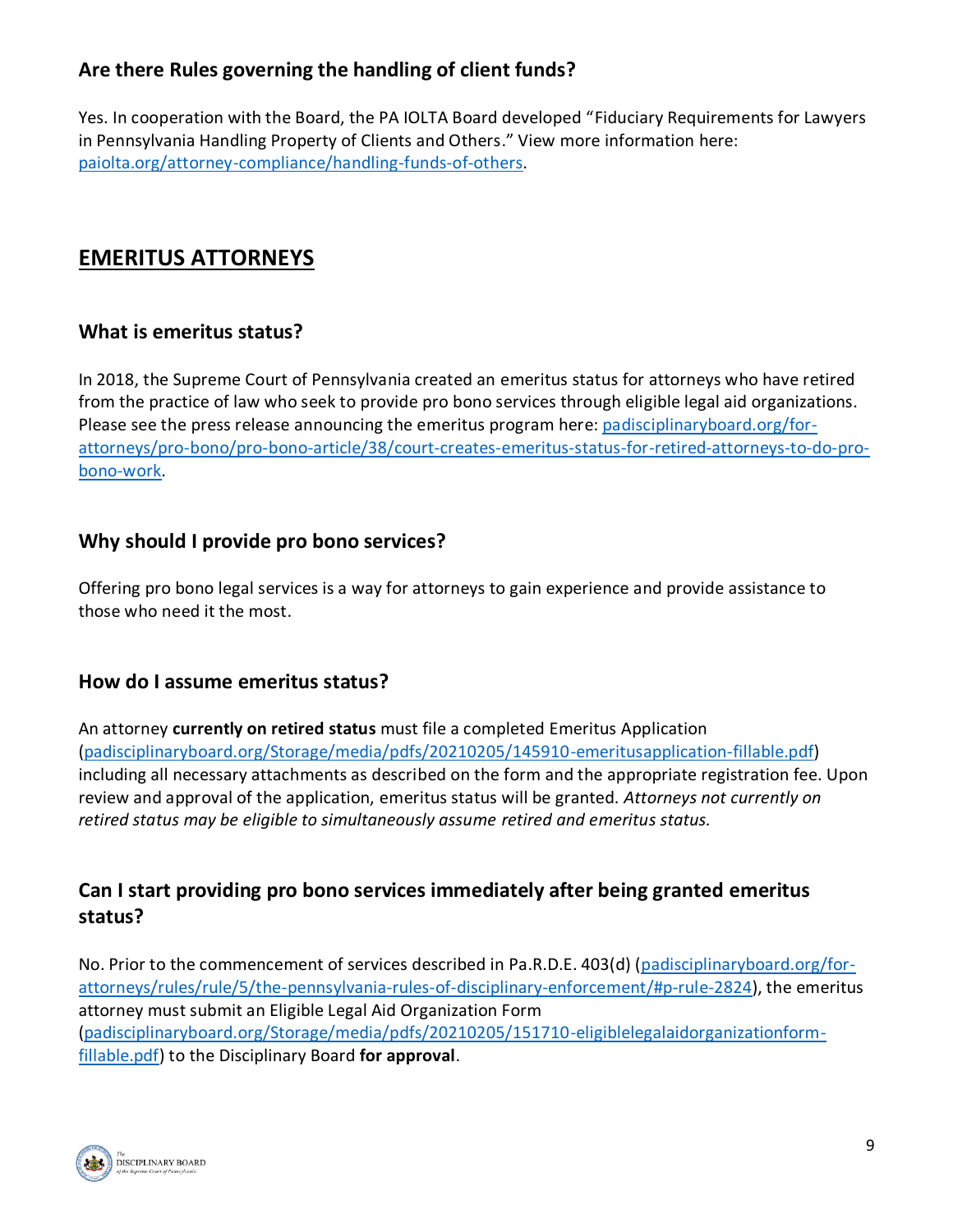# **Are there Rules governing the handling of client funds?**

Yes. In cooperation with the Board, the PA IOLTA Board developed "Fiduciary Requirements for Lawyers in Pennsylvania Handling Property of Clients and Others." View more information here: [paiolta.org/attorney-compliance/handling-funds-of-others.](https://www.paiolta.org/attorney-compliance/handling-funds-of-others/)

# **EMERITUS ATTORNEYS**

## **What is emeritus status?**

In 2018, the Supreme Court of Pennsylvania created an emeritus status for attorneys who have retired from the practice of law who seek to provide pro bono services through eligible legal aid organizations. Please see the press release announcing the emeritus program here: [padisciplinaryboard.org/for](https://www.padisciplinaryboard.org/for-attorneys/pro-bono/pro-bono-article/38/court-creates-emeritus-status-for-retired-attorneys-to-do-pro-bono-work)[attorneys/pro-bono/pro-bono-article/38/court-creates-emeritus-status-for-retired-attorneys-to-do-pro](https://www.padisciplinaryboard.org/for-attorneys/pro-bono/pro-bono-article/38/court-creates-emeritus-status-for-retired-attorneys-to-do-pro-bono-work)[bono-work.](https://www.padisciplinaryboard.org/for-attorneys/pro-bono/pro-bono-article/38/court-creates-emeritus-status-for-retired-attorneys-to-do-pro-bono-work)

## **Why should I provide pro bono services?**

Offering pro bono legal services is a way for attorneys to gain experience and provide assistance to those who need it the most.

#### **How do I assume emeritus status?**

An attorney **currently on retired status** must file a completed Emeritus Application [\(padisciplinaryboard.org/Storage/media/pdfs/20210205/145910-emeritusapplication-fillable.pdf\)](https://www.padisciplinaryboard.org/Storage/media/pdfs/20210205/145910-emeritusapplication-fillable.pdf) including all necessary attachments as described on the form and the appropriate registration fee. Upon review and approval of the application, emeritus status will be granted. *Attorneys not currently on retired status may be eligible to simultaneously assume retired and emeritus status.*

# **Can I start providing pro bono services immediately after being granted emeritus status?**

No. Prior to the commencement of services described in Pa.R.D.E. 403(d) [\(padisciplinaryboard.org/for](https://www.padisciplinaryboard.org/for-attorneys/rules/rule/5/the-pennsylvania-rules-of-disciplinary-enforcement/#p-rule-2824)[attorneys/rules/rule/5/the-pennsylvania-rules-of-disciplinary-enforcement/#p-rule-2824\)](https://www.padisciplinaryboard.org/for-attorneys/rules/rule/5/the-pennsylvania-rules-of-disciplinary-enforcement/#p-rule-2824), the emeritus attorney must submit an Eligible Legal Aid Organization Form [\(padisciplinaryboard.org/Storage/media/pdfs/20210205/151710-eligiblelegalaidorganizationform](https://www.padisciplinaryboard.org/Storage/media/pdfs/20210205/151710-eligiblelegalaidorganizationform-fillable.pdf)[fillable.pdf\)](https://www.padisciplinaryboard.org/Storage/media/pdfs/20210205/151710-eligiblelegalaidorganizationform-fillable.pdf) to the Disciplinary Board **for approval**.

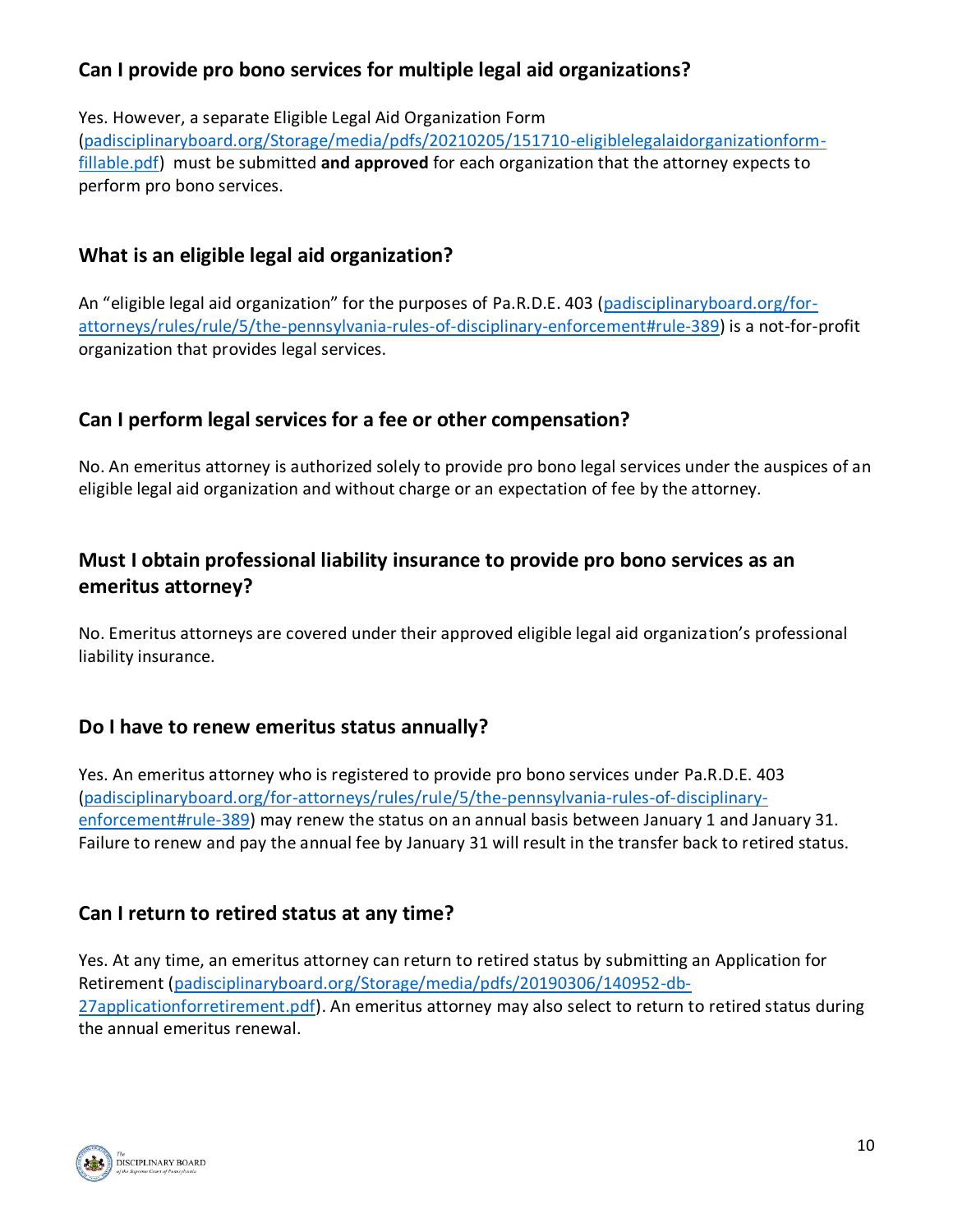# **Can I provide pro bono services for multiple legal aid organizations?**

Yes. However, a separate Eligible Legal Aid Organization Form

[\(padisciplinaryboard.org/Storage/media/pdfs/20210205/151710-eligiblelegalaidorganizationform](https://www.padisciplinaryboard.org/Storage/media/pdfs/20210205/151710-eligiblelegalaidorganizationform-fillable.pdf)[fillable.pdf\)](https://www.padisciplinaryboard.org/Storage/media/pdfs/20210205/151710-eligiblelegalaidorganizationform-fillable.pdf) must be submitted **and approved** for each organization that the attorney expects to perform pro bono services.

# **What is an eligible legal aid organization?**

An "eligible legal aid organization" for the purposes of Pa.R.D.E. 403 [\(padisciplinaryboard.org/for](https://www.padisciplinaryboard.org/for-attorneys/rules/rule/5/the-pennsylvania-rules-of-disciplinary-enforcement#rule-389)[attorneys/rules/rule/5/the-pennsylvania-rules-of-disciplinary-enforcement#rule-389\)](https://www.padisciplinaryboard.org/for-attorneys/rules/rule/5/the-pennsylvania-rules-of-disciplinary-enforcement#rule-389) is a not-for-profit organization that provides legal services.

# **Can I perform legal services for a fee or other compensation?**

No. An emeritus attorney is authorized solely to provide pro bono legal services under the auspices of an eligible legal aid organization and without charge or an expectation of fee by the attorney.

# **Must I obtain professional liability insurance to provide pro bono services as an emeritus attorney?**

No. Emeritus attorneys are covered under their approved eligible legal aid organization's professional liability insurance.

#### **Do I have to renew emeritus status annually?**

Yes. An emeritus attorney who is registered to provide pro bono services under Pa.R.D.E. 403 [\(padisciplinaryboard.org/for-attorneys/rules/rule/5/the-pennsylvania-rules-of-disciplinary](https://www.padisciplinaryboard.org/for-attorneys/rules/rule/5/the-pennsylvania-rules-of-disciplinary-enforcement#rule-389)[enforcement#rule-389\)](https://www.padisciplinaryboard.org/for-attorneys/rules/rule/5/the-pennsylvania-rules-of-disciplinary-enforcement#rule-389) may renew the status on an annual basis between January 1 and January 31. Failure to renew and pay the annual fee by January 31 will result in the transfer back to retired status.

# **Can I return to retired status at any time?**

Yes. At any time, an emeritus attorney can return to retired status by submitting an Application for Retirement [\(padisciplinaryboard.org/Storage/media/pdfs/20190306/140952-db-](https://www.padisciplinaryboard.org/Storage/media/pdfs/20190306/140952-db-27applicationforretirement.pdf)[27applicationforretirement.pdf\)](https://www.padisciplinaryboard.org/Storage/media/pdfs/20190306/140952-db-27applicationforretirement.pdf). An emeritus attorney may also select to return to retired status during the annual emeritus renewal.

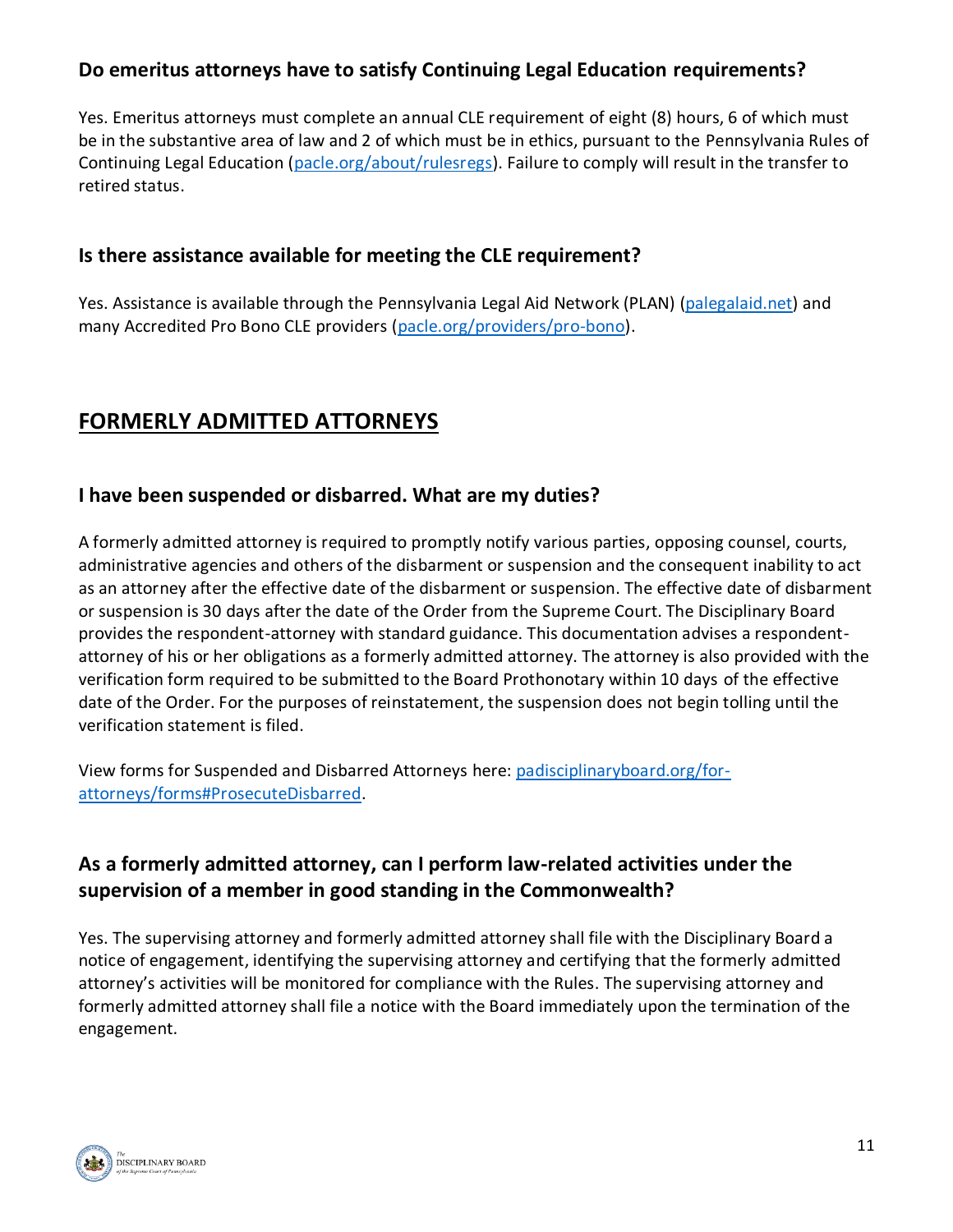## **Do emeritus attorneys have to satisfy Continuing Legal Education requirements?**

Yes. Emeritus attorneys must complete an annual CLE requirement of eight (8) hours, 6 of which must be in the substantive area of law and 2 of which must be in ethics, pursuant to the Pennsylvania Rules of Continuing Legal Education [\(pacle.org/about/rulesregs\)](https://www.pacle.org/about/rulesregs). Failure to comply will result in the transfer to retired status.

#### **Is there assistance available for meeting the CLE requirement?**

Yes. Assistance is available through the Pennsylvania Legal Aid Network (PLAN) [\(palegalaid.net\)](https://palegalaid.net/) and many Accredited Pro Bono CLE providers [\(pacle.org/providers/pro-bono\)](https://www.pacle.org/providers/pro-bono).

# **FORMERLY ADMITTED ATTORNEYS**

#### **I have been suspended or disbarred. What are my duties?**

A formerly admitted attorney is required to promptly notify various parties, opposing counsel, courts, administrative agencies and others of the disbarment or suspension and the consequent inability to act as an attorney after the effective date of the disbarment or suspension. The effective date of disbarment or suspension is 30 days after the date of the Order from the Supreme Court. The Disciplinary Board provides the respondent-attorney with standard guidance. This documentation advises a respondentattorney of his or her obligations as a formerly admitted attorney. The attorney is also provided with the verification form required to be submitted to the Board Prothonotary within 10 days of the effective date of the Order. For the purposes of reinstatement, the suspension does not begin tolling until the verification statement is filed.

View forms for Suspended and Disbarred Attorneys here: [padisciplinaryboard.org/for](https://www.padisciplinaryboard.org/for-attorneys/forms#ProsecuteDisbarred)[attorneys/forms#ProsecuteDisbarred.](https://www.padisciplinaryboard.org/for-attorneys/forms#ProsecuteDisbarred)

# **As a formerly admitted attorney, can I perform law-related activities under the supervision of a member in good standing in the Commonwealth?**

Yes. The supervising attorney and formerly admitted attorney shall file with the Disciplinary Board a notice of engagement, identifying the supervising attorney and certifying that the formerly admitted attorney's activities will be monitored for compliance with the Rules. The supervising attorney and formerly admitted attorney shall file a notice with the Board immediately upon the termination of the engagement.

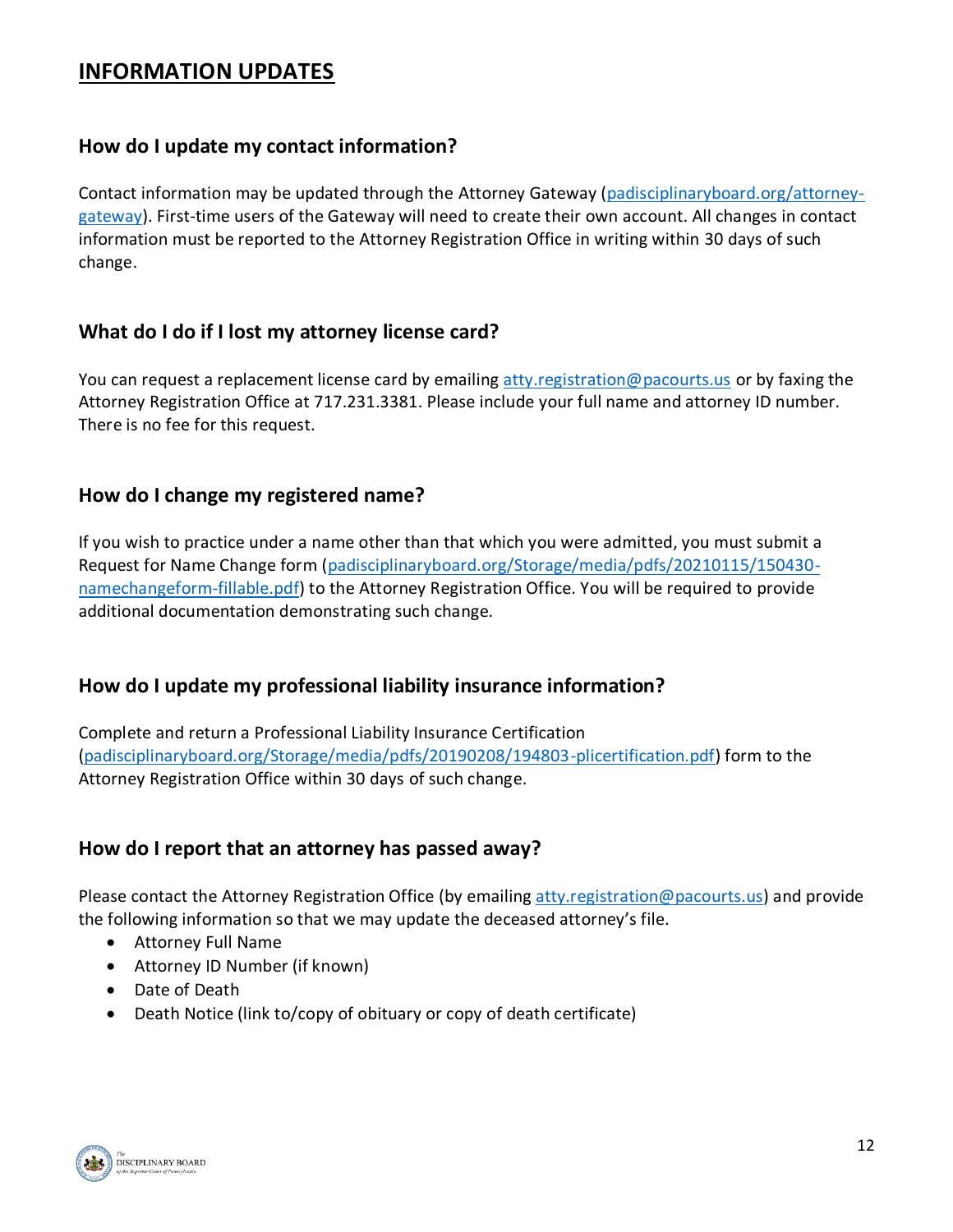# **INFORMATION UPDATES**

#### **How do I update my contact information?**

Contact information may be updated through the Attorney Gateway [\(padisciplinaryboard.org/attorney](https://www.padisciplinaryboard.org/attorney-gateway)[gateway\)](https://www.padisciplinaryboard.org/attorney-gateway). First-time users of the Gateway will need to create their own account. All changes in contact information must be reported to the Attorney Registration Office in writing within 30 days of such change.

#### **What do I do if I lost my attorney license card?**

You can request a replacement license card by emailing [atty.registration@pacourts.us](mailto:atty.registration@pacourts.us) or by faxing the Attorney Registration Office at 717.231.3381. Please include your full name and attorney ID number. There is no fee for this request.

#### **How do I change my registered name?**

If you wish to practice under a name other than that which you were admitted, you must submit a Request for Name Change form [\(padisciplinaryboard.org/Storage/media/pdfs/20210115/150430](https://www.padisciplinaryboard.org/Storage/media/pdfs/20210115/150430-namechangeform-fillable.pdf) [namechangeform-fillable.pdf\)](https://www.padisciplinaryboard.org/Storage/media/pdfs/20210115/150430-namechangeform-fillable.pdf) to the Attorney Registration Office. You will be required to provide additional documentation demonstrating such change.

#### **How do I update my professional liability insurance information?**

Complete and return a Professional Liability Insurance Certification [\(padisciplinaryboard.org/Storage/media/pdfs/20190208/194803-plicertification.pdf\)](https://www.padisciplinaryboard.org/Storage/media/pdfs/20190208/194803-plicertification.pdf) form to the Attorney Registration Office within 30 days of such change.

#### **How do I report that an attorney has passed away?**

Please contact the Attorney Registration Office (by emailing [atty.registration@pacourts.us\)](mailto:atty.registration@pacourts.us) and provide the following information so that we may update the deceased attorney's file.

- Attorney Full Name
- Attorney ID Number (if known)
- Date of Death
- Death Notice (link to/copy of obituary or copy of death certificate)

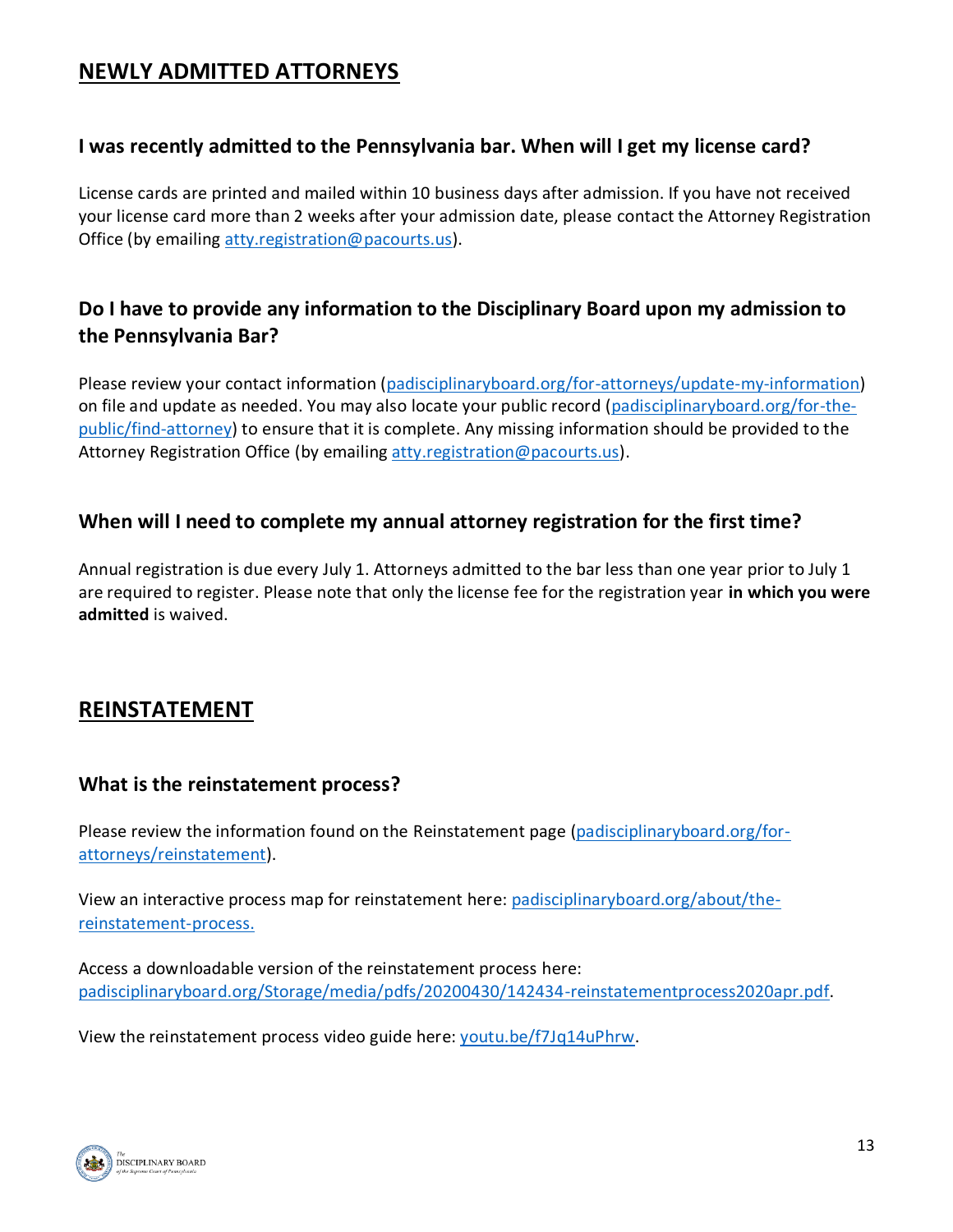# **NEWLY ADMITTED ATTORNEYS**

#### **I was recently admitted to the Pennsylvania bar. When will I get my license card?**

License cards are printed and mailed within 10 business days after admission. If you have not received your license card more than 2 weeks after your admission date, please contact the Attorney Registration Office (by emailing [atty.registration@pacourts.us\)](mailto:atty.registration@pacourts.us).

# **Do I have to provide any information to the Disciplinary Board upon my admission to the Pennsylvania Bar?**

Please review your contact information [\(padisciplinaryboard.org/for-attorneys/update-my-information\)](https://www.padisciplinaryboard.org/for-attorneys/update-my-information) on file and update as needed. You may also locate your public record [\(padisciplinaryboard.org/for-the](https://www.padisciplinaryboard.org/for-the-public/find-attorney)[public/find-attorney\)](https://www.padisciplinaryboard.org/for-the-public/find-attorney) to ensure that it is complete. Any missing information should be provided to the Attorney Registration Office (by emailing [atty.registration@pacourts.us\)](mailto:atty.registration@pacourts.us).

#### **When will I need to complete my annual attorney registration for the first time?**

Annual registration is due every July 1. Attorneys admitted to the bar less than one year prior to July 1 are required to register. Please note that only the license fee for the registration year **in which you were admitted** is waived.

# **REINSTATEMENT**

#### **What is the reinstatement process?**

Please review the information found on the Reinstatement page [\(padisciplinaryboard.org/for](https://www.padisciplinaryboard.org/for-attorneys/reinstatement)[attorneys/reinstatement\)](https://www.padisciplinaryboard.org/for-attorneys/reinstatement).

View an interactive process map for reinstatement here: [padisciplinaryboard.org/about/the](https://www.padisciplinaryboard.org/about/the-reinstatement-process)[reinstatement-process.](https://www.padisciplinaryboard.org/about/the-reinstatement-process)

Access a downloadable version of the reinstatement process here: [padisciplinaryboard.org/Storage/media/pdfs/20200430/142434-reinstatementprocess2020apr.pdf.](https://www.padisciplinaryboard.org/Storage/media/pdfs/20200430/142434-reinstatementprocess2020apr.pdf)

View the reinstatement process video guide here: [youtu.be/f7Jq14uPhrw.](https://youtu.be/f7Jq14uPhrw)

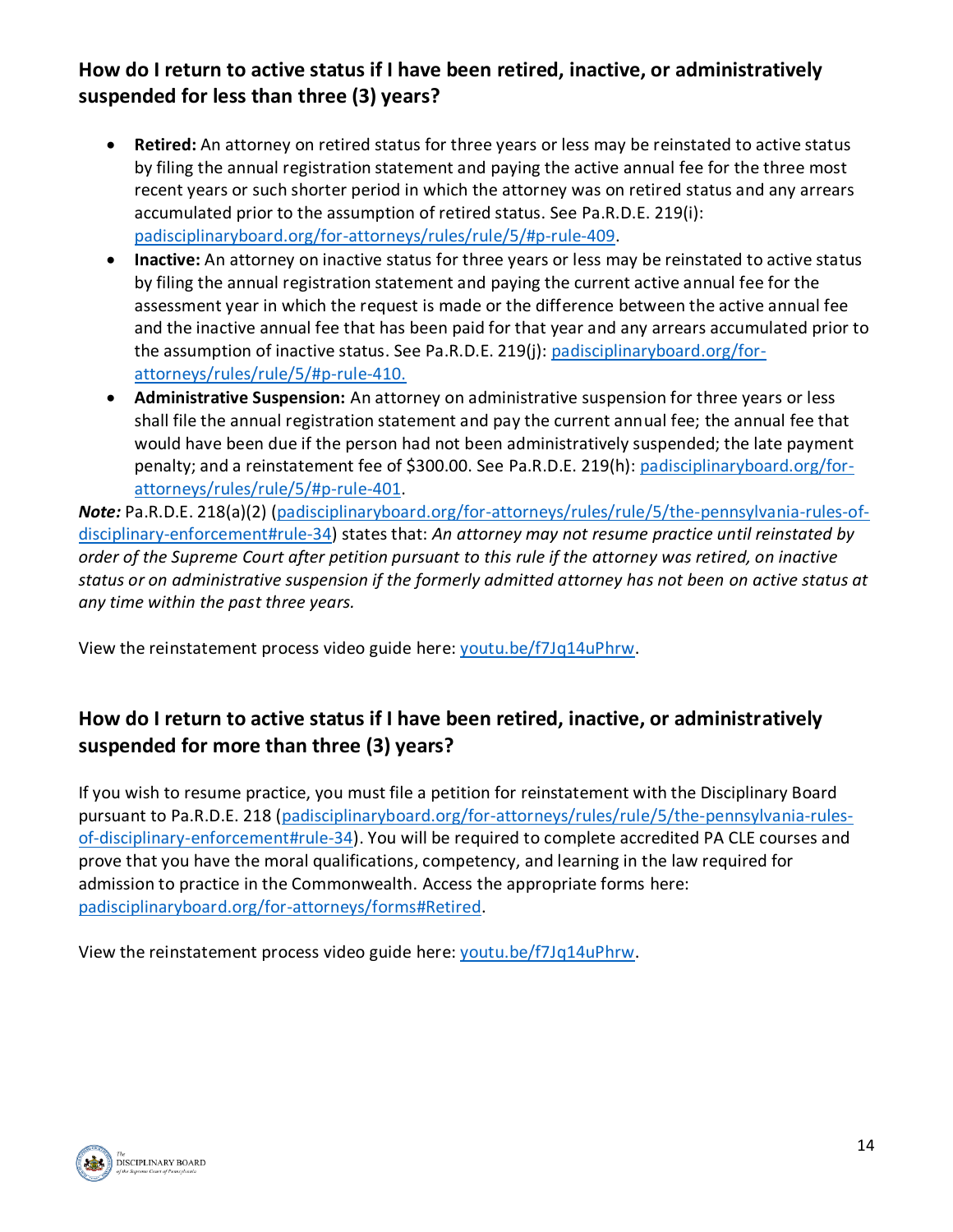# **How do I return to active status if I have been retired, inactive, or administratively suspended for less than three (3) years?**

- **Retired:** An attorney on retired status for three years or less may be reinstated to active status by filing the annual registration statement and paying the active annual fee for the three most recent years or such shorter period in which the attorney was on retired status and any arrears accumulated prior to the assumption of retired status. See Pa.R.D.E. 219(i): [padisciplinaryboard.org/for-attorneys/rules/rule/5/#p-rule-409.](https://www.padisciplinaryboard.org/for-attorneys/rules/rule/5/#p-rule-409)
- **Inactive:** An attorney on inactive status for three years or less may be reinstated to active status by filing the annual registration statement and paying the current active annual fee for the assessment year in which the request is made or the difference between the active annual fee and the inactive annual fee that has been paid for that year and any arrears accumulated prior to the assumption of inactive status. See Pa.R.D.E. 219(j): [padisciplinaryboard.org/for](https://www.padisciplinaryboard.org/for-attorneys/rules/rule/5/#p-rule-410)[attorneys/rules/rule/5/#p-rule-410.](https://www.padisciplinaryboard.org/for-attorneys/rules/rule/5/#p-rule-410)
- **Administrative Suspension:** An attorney on administrative suspension for three years or less shall file the annual registration statement and pay the current annual fee; the annual fee that would have been due if the person had not been administratively suspended; the late payment penalty; and a reinstatement fee of \$300.00. See Pa.R.D.E. 219(h): [padisciplinaryboard.org/for](https://www.padisciplinaryboard.org/for-attorneys/rules/rule/5/#p-rule-401)[attorneys/rules/rule/5/#p-rule-401.](https://www.padisciplinaryboard.org/for-attorneys/rules/rule/5/#p-rule-401)

*Note:* Pa.R.D.E. 218(a)(2) [\(padisciplinaryboard.org/for-attorneys/rules/rule/5/the-pennsylvania-rules-of](https://www.padisciplinaryboard.org/for-attorneys/rules/rule/5/the-pennsylvania-rules-of-disciplinary-enforcement#rule-34)[disciplinary-enforcement#rule-34\)](https://www.padisciplinaryboard.org/for-attorneys/rules/rule/5/the-pennsylvania-rules-of-disciplinary-enforcement#rule-34) states that: *An attorney may not resume practice until reinstated by order of the Supreme Court after petition pursuant to this rule if the attorney was retired, on inactive status or on administrative suspension if the formerly admitted attorney has not been on active status at any time within the past three years.*

View the reinstatement process video guide here: [youtu.be/f7Jq14uPhrw.](https://youtu.be/f7Jq14uPhrw)

# **How do I return to active status if I have been retired, inactive, or administratively suspended for more than three (3) years?**

If you wish to resume practice, you must file a petition for reinstatement with the Disciplinary Board pursuant to Pa.R.D.E. 218 [\(padisciplinaryboard.org/for-attorneys/rules/rule/5/the-pennsylvania-rules](https://www.padisciplinaryboard.org/for-attorneys/rules/rule/5/the-pennsylvania-rules-of-disciplinary-enforcement#rule-34)[of-disciplinary-enforcement#rule-34\)](https://www.padisciplinaryboard.org/for-attorneys/rules/rule/5/the-pennsylvania-rules-of-disciplinary-enforcement#rule-34). You will be required to complete accredited PA CLE courses and prove that you have the moral qualifications, competency, and learning in the law required for admission to practice in the Commonwealth. Access the appropriate forms here: [padisciplinaryboard.org/for-attorneys/forms#Retired.](https://www.padisciplinaryboard.org/for-attorneys/forms#Retired)

View the reinstatement process video guide here: [youtu.be/f7Jq14uPhrw.](https://youtu.be/f7Jq14uPhrw)

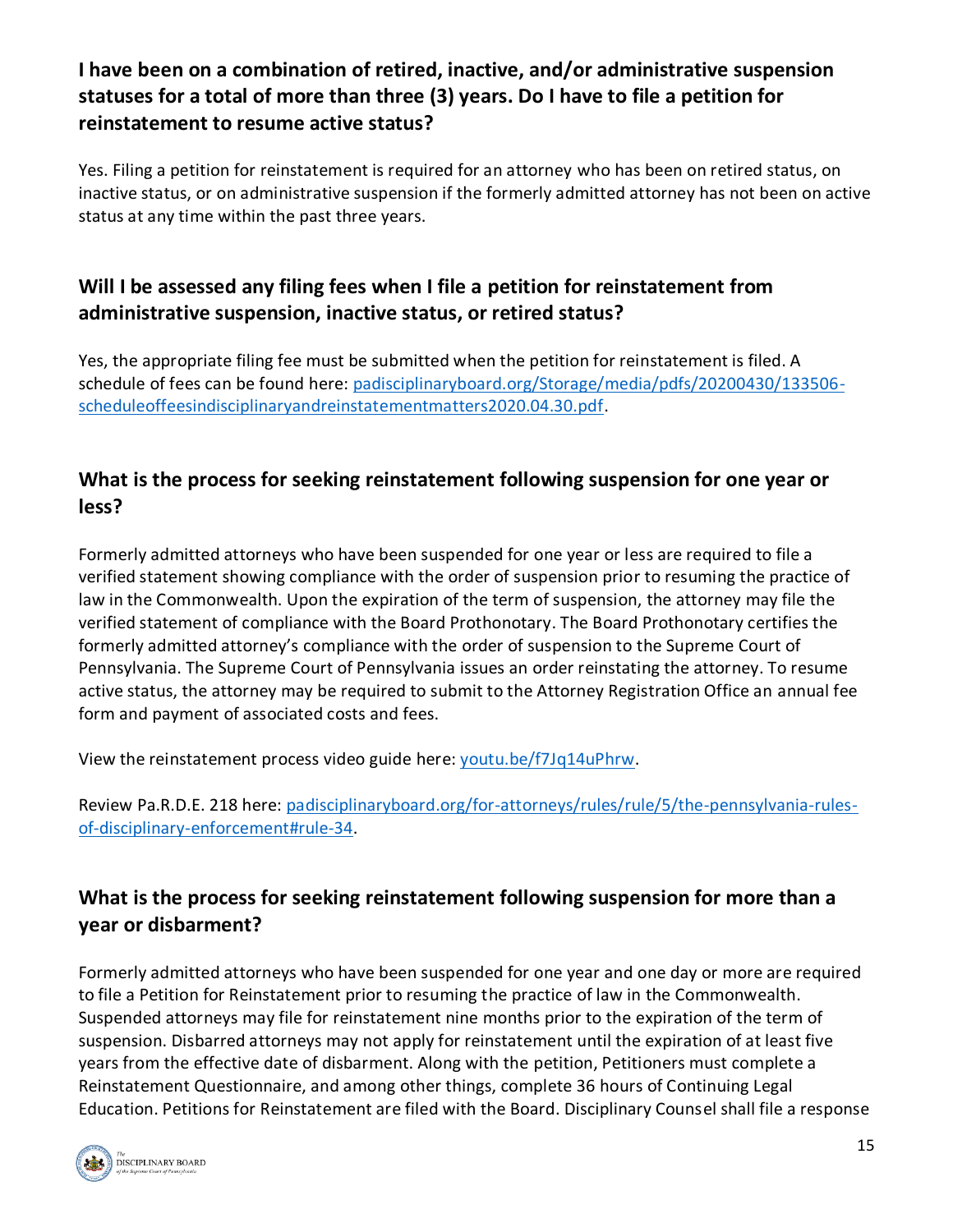# **I have been on a combination of retired, inactive, and/or administrative suspension statuses for a total of more than three (3) years. Do I have to file a petition for reinstatement to resume active status?**

Yes. Filing a petition for reinstatement is required for an attorney who has been on retired status, on inactive status, or on administrative suspension if the formerly admitted attorney has not been on active status at any time within the past three years.

## **Will I be assessed any filing fees when I file a petition for reinstatement from administrative suspension, inactive status, or retired status?**

Yes, the appropriate filing fee must be submitted when the petition for reinstatement is filed. A schedule of fees can be found here: [padisciplinaryboard.org/Storage/media/pdfs/20200430/133506](https://www.padisciplinaryboard.org/Storage/media/pdfs/20200430/133506-scheduleoffeesindisciplinaryandreinstatementmatters2020.04.30.pdf) [scheduleoffeesindisciplinaryandreinstatementmatters2020.04.30.pdf.](https://www.padisciplinaryboard.org/Storage/media/pdfs/20200430/133506-scheduleoffeesindisciplinaryandreinstatementmatters2020.04.30.pdf)

# **What is the process for seeking reinstatement following suspension for one year or less?**

Formerly admitted attorneys who have been suspended for one year or less are required to file a verified statement showing compliance with the order of suspension prior to resuming the practice of law in the Commonwealth. Upon the expiration of the term of suspension, the attorney may file the verified statement of compliance with the Board Prothonotary. The Board Prothonotary certifies the formerly admitted attorney's compliance with the order of suspension to the Supreme Court of Pennsylvania. The Supreme Court of Pennsylvania issues an order reinstating the attorney. To resume active status, the attorney may be required to submit to the Attorney Registration Office an annual fee form and payment of associated costs and fees.

View the reinstatement process video guide here: [youtu.be/f7Jq14uPhrw.](https://youtu.be/f7Jq14uPhrw)

Review Pa.R.D.E. 218 here: [padisciplinaryboard.org/for-attorneys/rules/rule/5/the-pennsylvania-rules](https://www.padisciplinaryboard.org/for-attorneys/rules/rule/5/the-pennsylvania-rules-of-disciplinary-enforcement#rule-34)[of-disciplinary-enforcement#rule-34.](https://www.padisciplinaryboard.org/for-attorneys/rules/rule/5/the-pennsylvania-rules-of-disciplinary-enforcement#rule-34)

# **What is the process for seeking reinstatement following suspension for more than a year or disbarment?**

Formerly admitted attorneys who have been suspended for one year and one day or more are required to file a Petition for Reinstatement prior to resuming the practice of law in the Commonwealth. Suspended attorneys may file for reinstatement nine months prior to the expiration of the term of suspension. Disbarred attorneys may not apply for reinstatement until the expiration of at least five years from the effective date of disbarment. Along with the petition, Petitioners must complete a Reinstatement Questionnaire, and among other things, complete 36 hours of Continuing Legal Education. Petitions for Reinstatement are filed with the Board. Disciplinary Counsel shall file a response

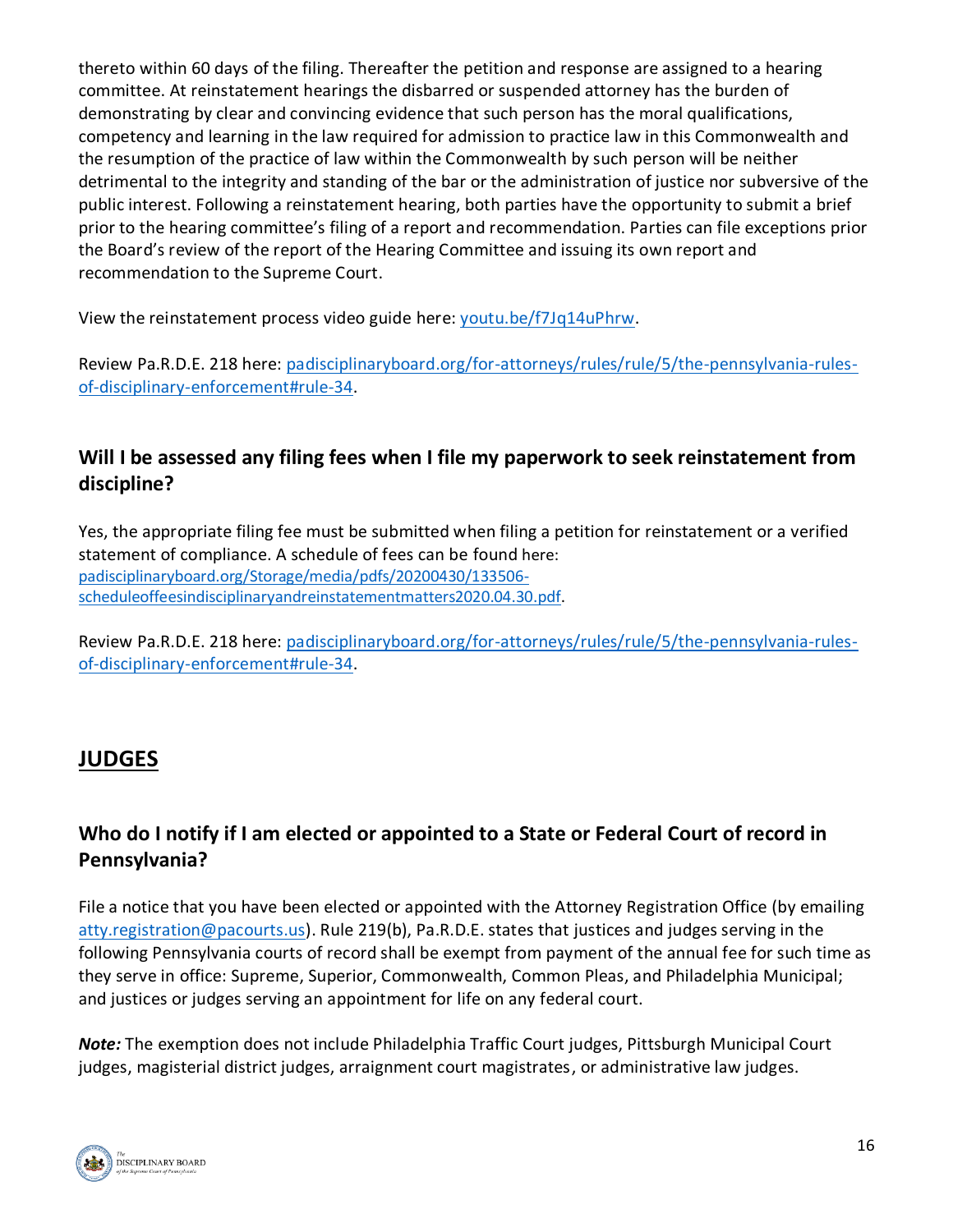thereto within 60 days of the filing. Thereafter the petition and response are assigned to a hearing committee. At reinstatement hearings the disbarred or suspended attorney has the burden of demonstrating by clear and convincing evidence that such person has the moral qualifications, competency and learning in the law required for admission to practice law in this Commonwealth and the resumption of the practice of law within the Commonwealth by such person will be neither detrimental to the integrity and standing of the bar or the administration of justice nor subversive of the public interest. Following a reinstatement hearing, both parties have the opportunity to submit a brief prior to the hearing committee's filing of a report and recommendation. Parties can file exceptions prior the Board's review of the report of the Hearing Committee and issuing its own report and recommendation to the Supreme Court.

View the reinstatement process video guide here: [youtu.be/f7Jq14uPhrw.](https://youtu.be/f7Jq14uPhrw)

Review Pa.R.D.E. 218 here: [padisciplinaryboard.org/for-attorneys/rules/rule/5/the-pennsylvania-rules](https://www.padisciplinaryboard.org/for-attorneys/rules/rule/5/the-pennsylvania-rules-of-disciplinary-enforcement#rule-34)[of-disciplinary-enforcement#rule-34.](https://www.padisciplinaryboard.org/for-attorneys/rules/rule/5/the-pennsylvania-rules-of-disciplinary-enforcement#rule-34)

# **Will I be assessed any filing fees when I file my paperwork to seek reinstatement from discipline?**

Yes, the appropriate filing fee must be submitted when filing a petition for reinstatement or a verified statement of compliance. A schedule of fees can be found here: [padisciplinaryboard.org/Storage/media/pdfs/20200430/133506](https://www.padisciplinaryboard.org/Storage/media/pdfs/20200430/133506-scheduleoffeesindisciplinaryandreinstatementmatters2020.04.30.pdf) [scheduleoffeesindisciplinaryandreinstatementmatters2020.04.30.pdf.](https://www.padisciplinaryboard.org/Storage/media/pdfs/20200430/133506-scheduleoffeesindisciplinaryandreinstatementmatters2020.04.30.pdf)

Review Pa.R.D.E. 218 here: [padisciplinaryboard.org/for-attorneys/rules/rule/5/the-pennsylvania-rules](https://www.padisciplinaryboard.org/for-attorneys/rules/rule/5/the-pennsylvania-rules-of-disciplinary-enforcement#rule-34)[of-disciplinary-enforcement#rule-34.](https://www.padisciplinaryboard.org/for-attorneys/rules/rule/5/the-pennsylvania-rules-of-disciplinary-enforcement#rule-34)

# **JUDGES**

# **Who do I notify if I am elected or appointed to a State or Federal Court of record in Pennsylvania?**

File a notice that you have been elected or appointed with the Attorney Registration Office (by emailing [atty.registration@pacourts.us\)](mailto:atty.registration@pacourts.us). Rule 219(b), Pa.R.D.E. states that justices and judges serving in the following Pennsylvania courts of record shall be exempt from payment of the annual fee for such time as they serve in office: Supreme, Superior, Commonwealth, Common Pleas, and Philadelphia Municipal; and justices or judges serving an appointment for life on any federal court.

*Note:* The exemption does not include Philadelphia Traffic Court judges, Pittsburgh Municipal Court judges, magisterial district judges, arraignment court magistrates, or administrative law judges.

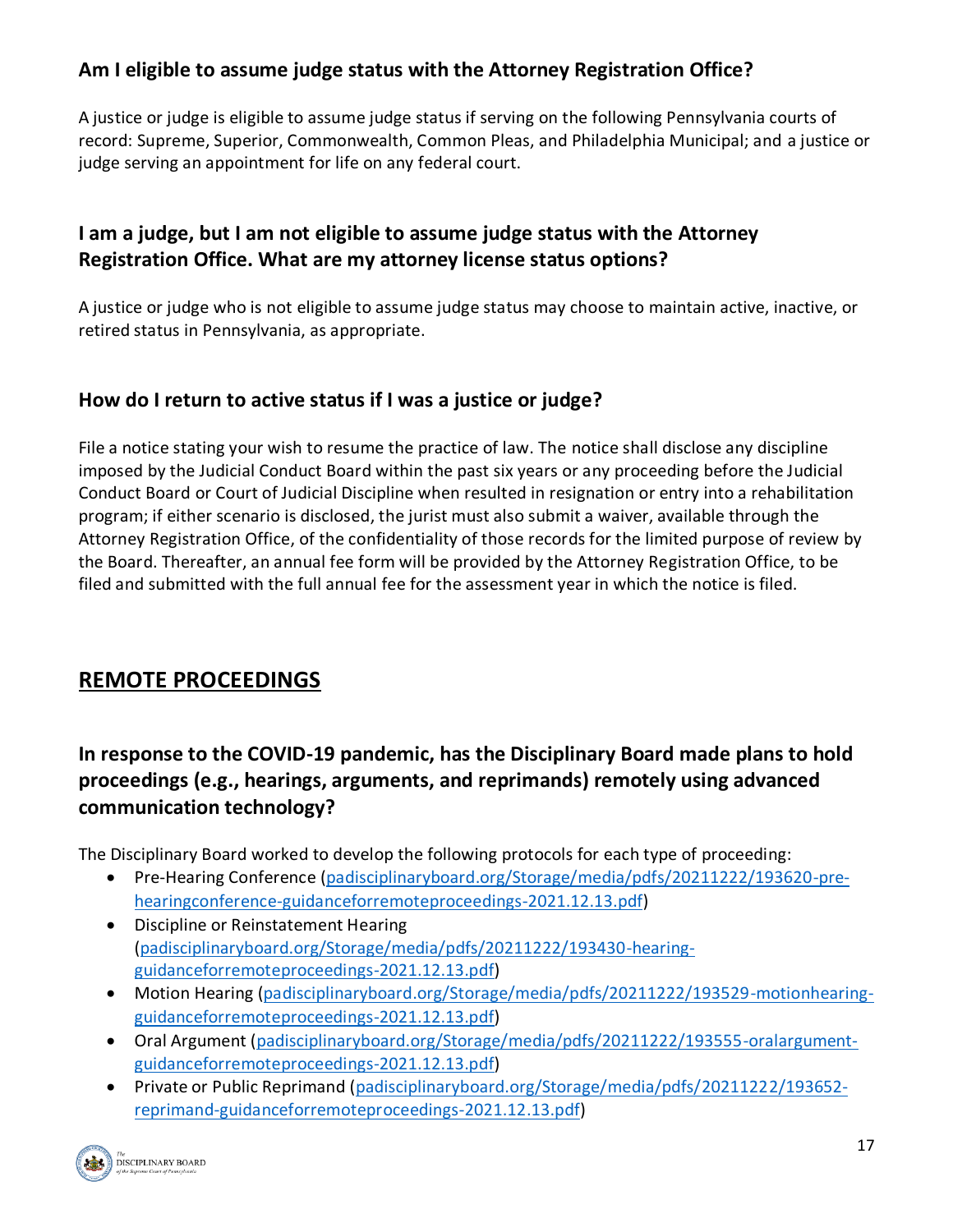# **Am I eligible to assume judge status with the Attorney Registration Office?**

A justice or judge is eligible to assume judge status if serving on the following Pennsylvania courts of record: Supreme, Superior, Commonwealth, Common Pleas, and Philadelphia Municipal; and a justice or judge serving an appointment for life on any federal court.

# **I am a judge, but I am not eligible to assume judge status with the Attorney Registration Office. What are my attorney license status options?**

A justice or judge who is not eligible to assume judge status may choose to maintain active, inactive, or retired status in Pennsylvania, as appropriate.

# **How do I return to active status if I was a justice or judge?**

File a notice stating your wish to resume the practice of law. The notice shall disclose any discipline imposed by the Judicial Conduct Board within the past six years or any proceeding before the Judicial Conduct Board or Court of Judicial Discipline when resulted in resignation or entry into a rehabilitation program; if either scenario is disclosed, the jurist must also submit a waiver, available through the Attorney Registration Office, of the confidentiality of those records for the limited purpose of review by the Board. Thereafter, an annual fee form will be provided by the Attorney Registration Office, to be filed and submitted with the full annual fee for the assessment year in which the notice is filed.

# **REMOTE PROCEEDINGS**

# **In response to the COVID-19 pandemic, has the Disciplinary Board made plans to hold proceedings (e.g., hearings, arguments, and reprimands) remotely using advanced communication technology?**

The Disciplinary Board worked to develop the following protocols for each type of proceeding:

- Pre-Hearing Conference [\(padisciplinaryboard.org/Storage/media/pdfs/20211222/193620-pre](https://www.padisciplinaryboard.org/Storage/media/pdfs/20211222/193620-pre-hearingconference-guidanceforremoteproceedings-2021.12.13.pdf)[hearingconference-guidanceforremoteproceedings-2021.12.13.pdf\)](https://www.padisciplinaryboard.org/Storage/media/pdfs/20211222/193620-pre-hearingconference-guidanceforremoteproceedings-2021.12.13.pdf)
- Discipline or Reinstatement Hearing [\(padisciplinaryboard.org/Storage/media/pdfs/20211222/193430-hearing](https://www.padisciplinaryboard.org/Storage/media/pdfs/20211222/193430-hearing-guidanceforremoteproceedings-2021.12.13.pdf)[guidanceforremoteproceedings-2021.12.13.pdf\)](https://www.padisciplinaryboard.org/Storage/media/pdfs/20211222/193430-hearing-guidanceforremoteproceedings-2021.12.13.pdf)
- Motion Hearing [\(padisciplinaryboard.org/Storage/media/pdfs/20211222/193529-motionhearing](https://www.padisciplinaryboard.org/Storage/media/pdfs/20211222/193529-motionhearing-guidanceforremoteproceedings-2021.12.13.pdf)[guidanceforremoteproceedings-2021.12.13.pdf\)](https://www.padisciplinaryboard.org/Storage/media/pdfs/20211222/193529-motionhearing-guidanceforremoteproceedings-2021.12.13.pdf)
- Oral Argument [\(padisciplinaryboard.org/Storage/media/pdfs/20211222/193555-oralargument](https://www.padisciplinaryboard.org/Storage/media/pdfs/20211222/193555-oralargument-guidanceforremoteproceedings-2021.12.13.pdf)[guidanceforremoteproceedings-2021.12.13.pdf\)](https://www.padisciplinaryboard.org/Storage/media/pdfs/20211222/193555-oralargument-guidanceforremoteproceedings-2021.12.13.pdf)
- Private or Public Reprimand [\(padisciplinaryboard.org/Storage/media/pdfs/20211222/193652](https://www.padisciplinaryboard.org/Storage/media/pdfs/20211222/193652-reprimand-guidanceforremoteproceedings-2021.12.13.pdf) [reprimand-guidanceforremoteproceedings-2021.12.13.pdf\)](https://www.padisciplinaryboard.org/Storage/media/pdfs/20211222/193652-reprimand-guidanceforremoteproceedings-2021.12.13.pdf)

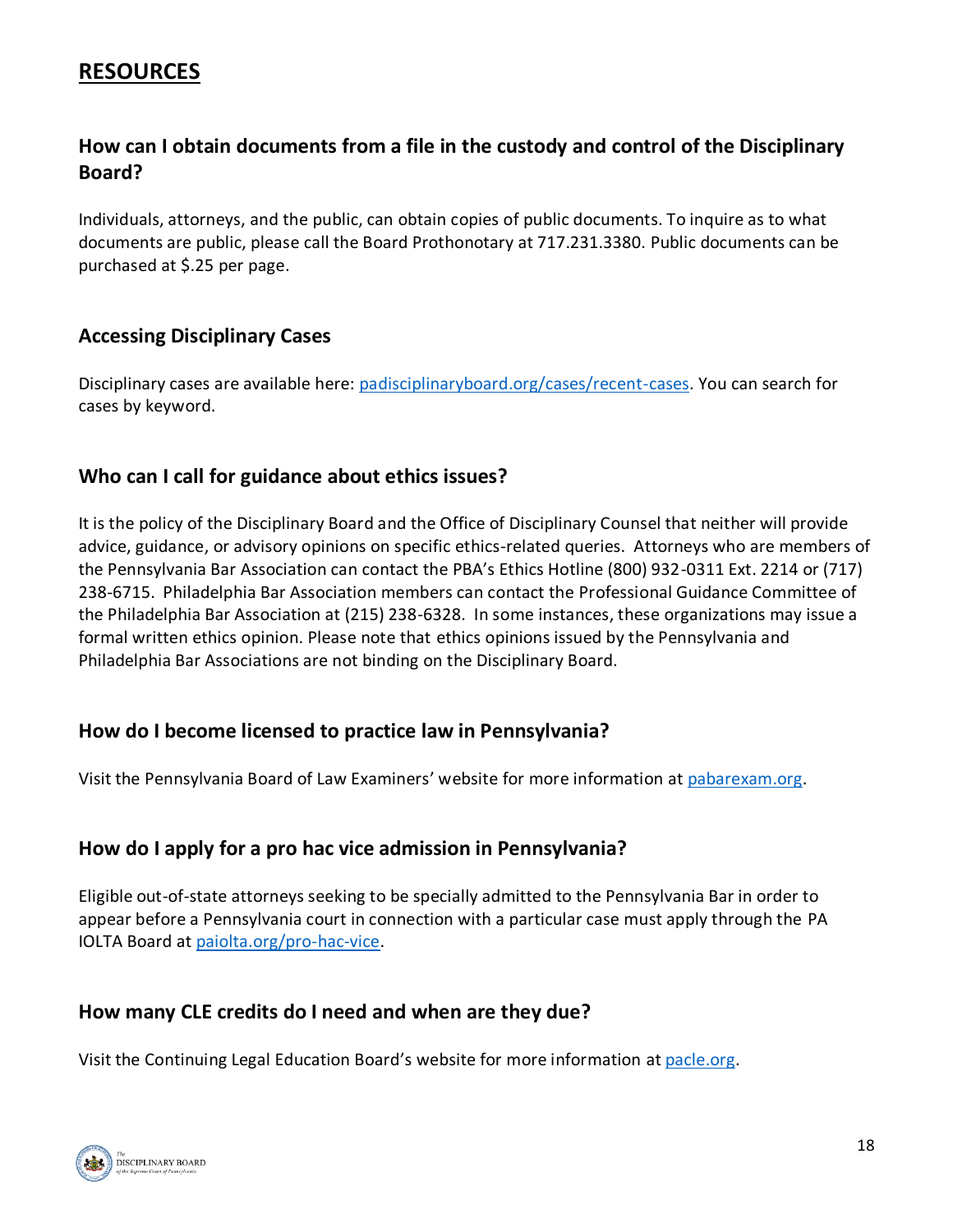# **RESOURCES**

## **How can I obtain documents from a file in the custody and control of the Disciplinary Board?**

Individuals, attorneys, and the public, can obtain copies of public documents. To inquire as to what documents are public, please call the Board Prothonotary at 717.231.3380. Public documents can be purchased at \$.25 per page.

#### **Accessing Disciplinary Cases**

Disciplinary cases are available here: [padisciplinaryboard.org/cases/recent-cases.](https://www.padisciplinaryboard.org/cases/recent-cases) You can search for cases by keyword.

#### **Who can I call for guidance about ethics issues?**

It is the policy of the Disciplinary Board and the Office of Disciplinary Counsel that neither will provide advice, guidance, or advisory opinions on specific ethics-related queries. Attorneys who are members of the Pennsylvania Bar Association can contact the PBA's Ethics Hotline (800) 932-0311 Ext. 2214 or (717) 238-6715. Philadelphia Bar Association members can contact the Professional Guidance Committee of the Philadelphia Bar Association at (215) 238-6328. In some instances, these organizations may issue a formal written ethics opinion. Please note that ethics opinions issued by the Pennsylvania and Philadelphia Bar Associations are not binding on the Disciplinary Board.

#### **How do I become licensed to practice law in Pennsylvania?**

Visit the Pennsylvania Board of Law Examiners' website for more information at [pabarexam.org.](https://www.pabarexam.org/)

#### **How do I apply for a pro hac vice admission in Pennsylvania?**

Eligible out-of-state attorneys seeking to be specially admitted to the Pennsylvania Bar in order to appear before a Pennsylvania court in connection with a particular case must apply through the PA IOLTA Board at [paiolta.org/pro-hac-vice.](https://www.paiolta.org/pro-hac-vice/)

#### **How many CLE credits do I need and when are they due?**

Visit the Continuing Legal Education Board's website for more information at [pacle.org.](https://www.pacle.org/)

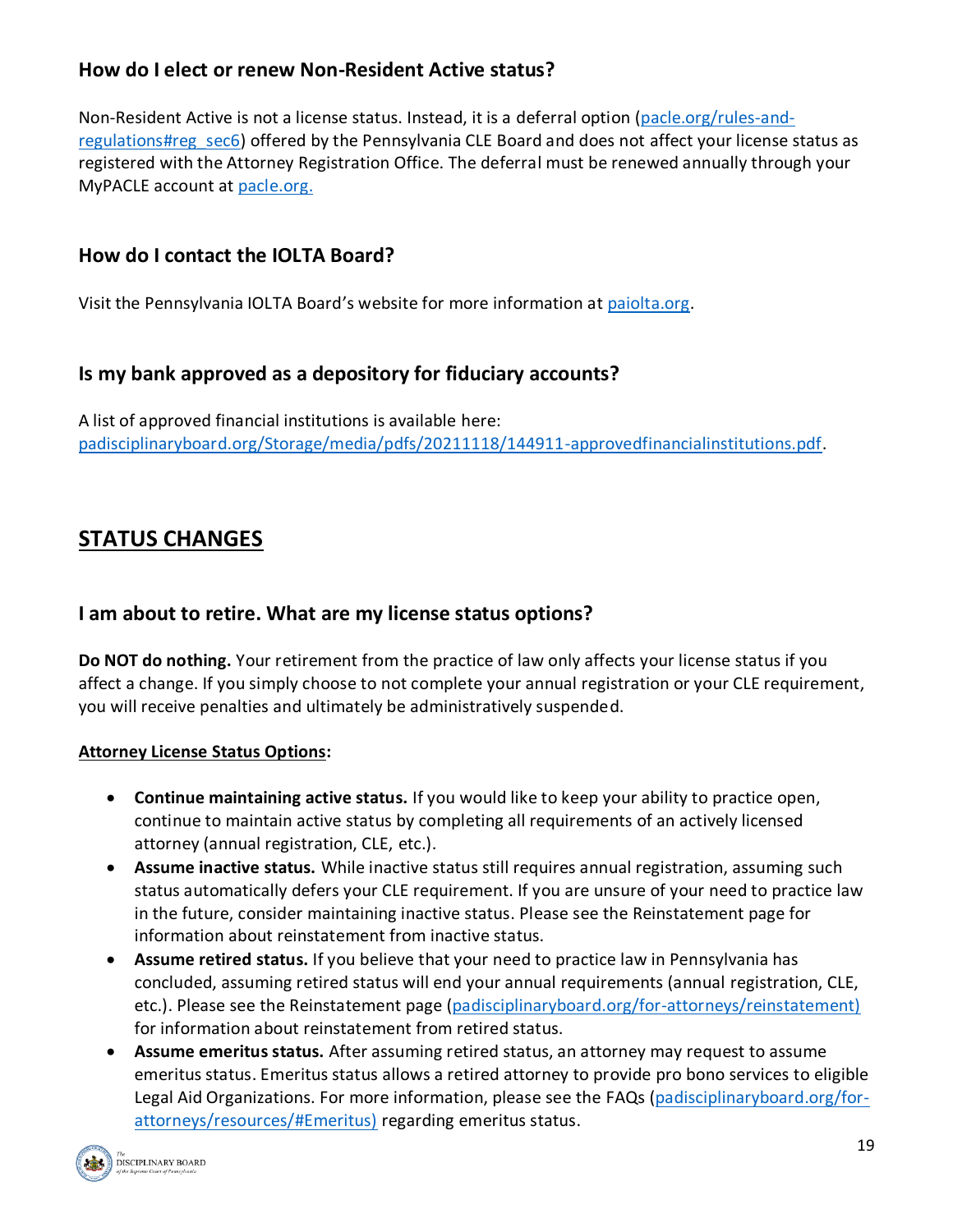## **How do I elect or renew Non-Resident Active status?**

Non-Resident Active is not a license status. Instead, it is a deferral option [\(pacle.org/rules-and](https://www.pacle.org/rules-and-regulations#reg_sec6)[regulations#reg\\_sec6\)](https://www.pacle.org/rules-and-regulations#reg_sec6) offered by the Pennsylvania CLE Board and does not affect your license status as registered with the Attorney Registration Office. The deferral must be renewed annually through your MyPACLE account at [pacle.org.](https://www.pacle.org/)

#### **How do I contact the IOLTA Board?**

Visit the Pennsylvania IOLTA Board's website for more information at [paiolta.org.](https://www.paiolta.org/)

#### **Is my bank approved as a depository for fiduciary accounts?**

A list of approved financial institutions is available here: [padisciplinaryboard.org/Storage/media/pdfs/20211118/144911-approvedfinancialinstitutions.pdf.](https://www.padisciplinaryboard.org/Storage/media/pdfs/20211118/144911-approvedfinancialinstitutions.pdf)

# **STATUS CHANGES**

#### **I am about to retire. What are my license status options?**

**Do NOT do nothing.** Your retirement from the practice of law only affects your license status if you affect a change. If you simply choose to not complete your annual registration or your CLE requirement, you will receive penalties and ultimately be administratively suspended.

#### **Attorney License Status Options:**

- **Continue maintaining active status.** If you would like to keep your ability to practice open, continue to maintain active status by completing all requirements of an actively licensed attorney (annual registration, CLE, etc.).
- **Assume inactive status.** While inactive status still requires annual registration, assuming such status automatically defers your CLE requirement. If you are unsure of your need to practice law in the future, consider maintaining inactive status. Please see the Reinstatement page for information about reinstatement from inactive status.
- **Assume retired status.** If you believe that your need to practice law in Pennsylvania has concluded, assuming retired status will end your annual requirements (annual registration, CLE, etc.). Please see the Reinstatement page [\(padisciplinaryboard.org/for-attorneys/reinstatement\)](https://www.padisciplinaryboard.org/for-attorneys/reinstatement) for information about reinstatement from retired status.
- **Assume emeritus status.** After assuming retired status, an attorney may request to assume emeritus status. Emeritus status allows a retired attorney to provide pro bono services to eligible Legal Aid Organizations. For more information, please see the FAQs [\(padisciplinaryboard.org/for](https://www.padisciplinaryboard.org/for-attorneys/resources/#Emeritus)[attorneys/resources/#Emeritus\)](https://www.padisciplinaryboard.org/for-attorneys/resources/#Emeritus) regarding emeritus status.